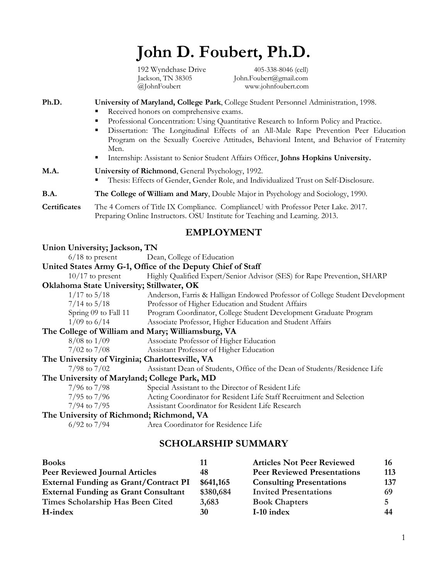# **John D. Foubert, Ph.D.**

 192 Wyndchase Drive 405-338-8046 (cell) Jackson, TN 38305 John.Foubert@gmail.com @JohnFoubert www.johnfoubert.com

#### **Ph.D. University of Maryland, College Park**, College Student Personnel Administration, 1998.

- Received honors on comprehensive exams.
- Professional Concentration: Using Quantitative Research to Inform Policy and Practice.
- § Dissertation: The Longitudinal Effects of an All-Male Rape Prevention Peer Education Program on the Sexually Coercive Attitudes, Behavioral Intent, and Behavior of Fraternity Men.
- Internship: Assistant to Senior Student Affairs Officer, **Johns Hopkins University.**

| M.A. | University of Richmond, General Psychology, 1992.                                      |
|------|----------------------------------------------------------------------------------------|
|      | • Thesis: Effects of Gender, Gender Role, and Individualized Trust on Self-Disclosure. |

#### **B.A. The College of William and Mary**, Double Major in Psychology and Sociology, 1990.

**Certificates** The 4 Corners of Title IX Compliance. ComplianceU with Professor Peter Lake. 2017. Preparing Online Instructors. OSU Institute for Teaching and Learning. 2013.

# **EMPLOYMENT**

| Union University; Jackson, TN                     |                                                                              |
|---------------------------------------------------|------------------------------------------------------------------------------|
|                                                   | 6/18 to present Dean, College of Education                                   |
|                                                   | United States Army G-1, Office of the Deputy Chief of Staff                  |
| $10/17$ to present                                | Highly Qualified Expert/Senior Advisor (SES) for Rape Prevention, SHARP      |
| Oklahoma State University; Stillwater, OK         |                                                                              |
| $1/17$ to $5/18$                                  | Anderson, Farris & Halligan Endowed Professor of College Student Development |
| $7/14$ to $5/18$                                  | Professor of Higher Education and Student Affairs                            |
| Spring 09 to Fall 11                              | Program Coordinator, College Student Development Graduate Program            |
| $1/09$ to 6/14                                    | Associate Professor, Higher Education and Student Affairs                    |
| The College of William and Mary; Williamsburg, VA |                                                                              |
| $8/08$ to $1/09$                                  | Associate Professor of Higher Education                                      |
| $7/02$ to $7/08$                                  | Assistant Professor of Higher Education                                      |
| The University of Virginia; Charlottesville, VA   |                                                                              |
| $7/98$ to $7/02$                                  | Assistant Dean of Students, Office of the Dean of Students/Residence Life    |
| The University of Maryland; College Park, MD      |                                                                              |
| $7/96$ to $7/98$                                  | Special Assistant to the Director of Resident Life                           |
| $7/95$ to $7/96$                                  | Acting Coordinator for Resident Life Staff Recruitment and Selection         |
| $7/94$ to $7/95$                                  | Assistant Coordinator for Resident Life Research                             |
| The University of Richmond; Richmond, VA          |                                                                              |
| $6/92$ to $7/94$                                  | Area Coordinator for Residence Life                                          |
|                                                   |                                                                              |

# **SCHOLARSHIP SUMMARY**

| <b>Books</b>                                 | 11        | <b>Articles Not Peer Reviewed</b>  | 16  |
|----------------------------------------------|-----------|------------------------------------|-----|
| <b>Peer Reviewed Journal Articles</b>        | 48        | <b>Peer Reviewed Presentations</b> | 113 |
| <b>External Funding as Grant/Contract PI</b> | \$641,165 | <b>Consulting Presentations</b>    | 137 |
| <b>External Funding as Grant Consultant</b>  | \$380,684 | <b>Invited Presentations</b>       |     |
| Times Scholarship Has Been Cited             | 3,683     | <b>Book Chapters</b>               |     |
| H-index                                      | 30        | I-10 index                         | 44  |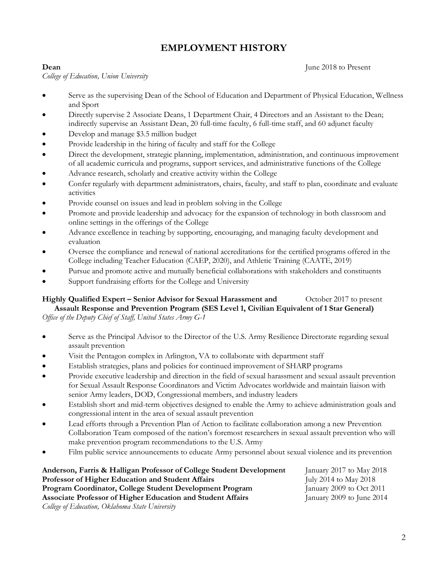# **EMPLOYMENT HISTORY**

*College of Education, Union University* 

**Dean** June 2018 to Present

- Serve as the supervising Dean of the School of Education and Department of Physical Education, Wellness and Sport
- Directly supervise 2 Associate Deans, 1 Department Chair, 4 Directors and an Assistant to the Dean; indirectly supervise an Assistant Dean, 20 full-time faculty, 6 full-time staff, and 60 adjunct faculty
- Develop and manage \$3.5 million budget
- Provide leadership in the hiring of faculty and staff for the College
- Direct the development, strategic planning, implementation, administration, and continuous improvement of all academic curricula and programs, support services, and administrative functions of the College
- Advance research, scholarly and creative activity within the College
- Confer regularly with department administrators, chairs, faculty, and staff to plan, coordinate and evaluate activities
- Provide counsel on issues and lead in problem solving in the College
- Promote and provide leadership and advocacy for the expansion of technology in both classroom and online settings in the offerings of the College
- Advance excellence in teaching by supporting, encouraging, and managing faculty development and evaluation
- Oversee the compliance and renewal of national accreditations for the certified programs offered in the College including Teacher Education (CAEP, 2020), and Athletic Training (CAATE, 2019)
- Pursue and promote active and mutually beneficial collaborations with stakeholders and constituents
- Support fundraising efforts for the College and University

# **Highly Qualified Expert – Senior Advisor for Sexual Harassment and** October 2017 to present  **Assault Response and Prevention Program (SES Level 1, Civilian Equivalent of 1 Star General)**

*Office of the Deputy Chief of Staff, United States Army G-1*

- Serve as the Principal Advisor to the Director of the U.S. Army Resilience Directorate regarding sexual assault prevention
- Visit the Pentagon complex in Arlington, VA to collaborate with department staff
- Establish strategies, plans and policies for continued improvement of SHARP programs
- Provide executive leadership and direction in the field of sexual harassment and sexual assault prevention for Sexual Assault Response Coordinators and Victim Advocates worldwide and maintain liaison with senior Army leaders, DOD, Congressional members, and industry leaders
- Establish short and mid-term objectives designed to enable the Army to achieve administration goals and congressional intent in the area of sexual assault prevention
- Lead efforts through a Prevention Plan of Action to facilitate collaboration among a new Prevention Collaboration Team composed of the nation's foremost researchers in sexual assault prevention who will make prevention program recommendations to the U.S. Army
- Film public service announcements to educate Army personnel about sexual violence and its prevention

| Anderson, Farris & Halligan Professor of College Student Development | January 2017 to May 2018   |
|----------------------------------------------------------------------|----------------------------|
| <b>Professor of Higher Education and Student Affairs</b>             | July 2014 to May 2018      |
| Program Coordinator, College Student Development Program             | January 2009 to $Oct$ 2011 |
| Associate Professor of Higher Education and Student Affairs          | January 2009 to June 2014  |
| College of Education, Oklahoma State University                      |                            |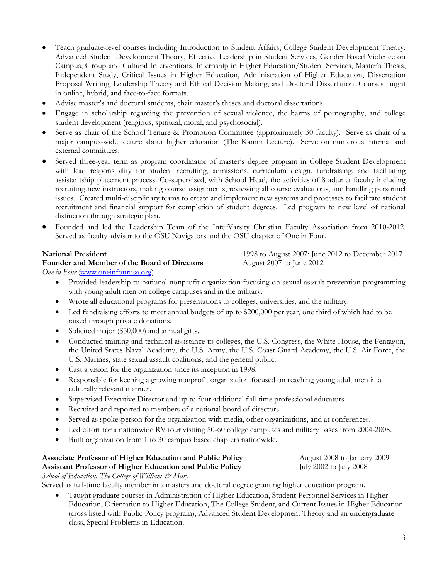- Teach graduate-level courses including Introduction to Student Affairs, College Student Development Theory, Advanced Student Development Theory, Effective Leadership in Student Services, Gender Based Violence on Campus, Group and Cultural Interventions, Internship in Higher Education/Student Services, Master's Thesis, Independent Study, Critical Issues in Higher Education, Administration of Higher Education, Dissertation Proposal Writing, Leadership Theory and Ethical Decision Making, and Doctoral Dissertation. Courses taught in online, hybrid, and face-to-face formats.
- Advise master's and doctoral students, chair master's theses and doctoral dissertations.
- Engage in scholarship regarding the prevention of sexual violence, the harms of pornography, and college student development (religious, spiritual, moral, and psychosocial).
- Serve as chair of the School Tenure & Promotion Committee (approximately 30 faculty). Serve as chair of a major campus-wide lecture about higher education (The Kamm Lecture). Serve on numerous internal and external committees.
- Served three-year term as program coordinator of master's degree program in College Student Development with lead responsibility for student recruiting, admissions, curriculum design, fundraising, and facilitating assistantship placement process. Co-supervised, with School Head, the activities of 8 adjunct faculty including recruiting new instructors, making course assignments, reviewing all course evaluations, and handling personnel issues. Created multi-disciplinary teams to create and implement new systems and processes to facilitate student recruitment and financial support for completion of student degrees. Led program to new level of national distinction through strategic plan.
- Founded and led the Leadership Team of the InterVarsity Christian Faculty Association from 2010-2012. Served as faculty advisor to the OSU Navigators and the OSU chapter of One in Four.

#### **Founder and Member of the Board of Directors** August 2007 to June 2012

**National President** 1998 to August 2007; June 2012 to December 2017

*One in Four* (www.oneinfourusa.org)

- Provided leadership to national nonprofit organization focusing on sexual assault prevention programming with young adult men on college campuses and in the military.
- Wrote all educational programs for presentations to colleges, universities, and the military.
- Led fundraising efforts to meet annual budgets of up to \$200,000 per year, one third of which had to be raised through private donations.
- Solicited major (\$50,000) and annual gifts.
- Conducted training and technical assistance to colleges, the U.S. Congress, the White House, the Pentagon, the United States Naval Academy, the U.S. Army, the U.S. Coast Guard Academy, the U.S. Air Force, the U.S. Marines, state sexual assault coalitions, and the general public.
- Cast a vision for the organization since its inception in 1998.
- Responsible for keeping a growing nonprofit organization focused on reaching young adult men in a culturally relevant manner.
- Supervised Executive Director and up to four additional full-time professional educators.
- Recruited and reported to members of a national board of directors.
- Served as spokesperson for the organization with media, other organizations, and at conferences.
- Led effort for a nationwide RV tour visiting 50-60 college campuses and military bases from 2004-2008.
- Built organization from 1 to 30 campus based chapters nationwide.

### **Associate Professor of Higher Education and Public Policy August 2008 to January 2009 Assistant Professor of Higher Education and Public Policy** July 2002 to July 2008

*School of Education, The College of William & Mary*

Served as full-time faculty member in a masters and doctoral degree granting higher education program.

• Taught graduate courses in Administration of Higher Education, Student Personnel Services in Higher Education, Orientation to Higher Education, The College Student, and Current Issues in Higher Education (cross listed with Public Policy program), Advanced Student Development Theory and an undergraduate class, Special Problems in Education.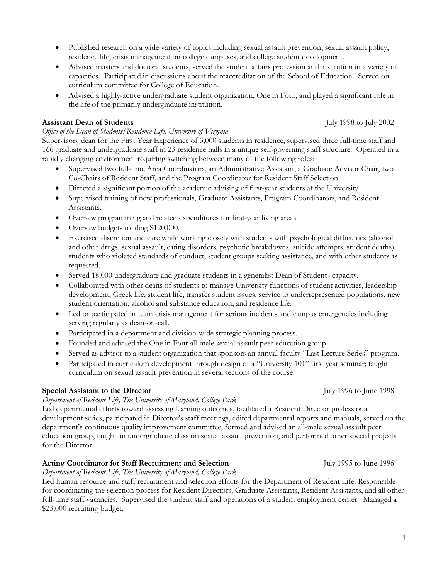- Published research on a wide variety of topics including sexual assault prevention, sexual assault policy, residence life, crisis management on college campuses, and college student development.
- Advised masters and doctoral students, served the student affairs profession and institution in a variety of capacities. Participated in discussions about the reaccreditation of the School of Education. Served on curriculum committee for College of Education.
- Advised a highly-active undergraduate student organization, One in Four, and played a significant role in the life of the primarily undergraduate institution.

#### **Assistant Dean of Students July 1998** to July 2002

# *Office of the Dean of Students/Residence Life, University of Virginia*

Supervisory dean for the First Year Experience of 3,000 students in residence, supervised three full-time staff and 166 graduate and undergraduate staff in 23 residence halls in a unique self-governing staff structure. Operated in a rapidly changing environment requiring switching between many of the following roles:

- Supervised two full-time Area Coordinators, an Administrative Assistant, a Graduate Advisor Chair, two Co-Chairs of Resident Staff, and the Program Coordinator for Resident Staff Selection.
- Directed a significant portion of the academic advising of first-year students at the University
- Supervised training of new professionals, Graduate Assistants, Program Coordinators, and Resident Assistants.
- Oversaw programming and related expenditures for first-year living areas.
- Oversaw budgets totaling \$120,000.
- Exercised discretion and care while working closely with students with psychological difficulties (alcohol and other drugs, sexual assault, eating disorders, psychotic breakdowns, suicide attempts, student deaths), students who violated standards of conduct, student groups seeking assistance, and with other students as requested.
- Served 18,000 undergraduate and graduate students in a generalist Dean of Students capacity.
- Collaborated with other deans of students to manage University functions of student activities, leadership development, Greek life, student life, transfer student issues, service to underrepresented populations, new student orientation, alcohol and substance education, and residence life.
- Led or participated in team crisis management for serious incidents and campus emergencies including serving regularly as dean-on-call.
- Participated in a department and division-wide strategic planning process.
- Founded and advised the One in Four all-male sexual assault peer education group.
- Served as advisor to a student organization that sponsors an annual faculty "Last Lecture Series" program.
- Participated in curriculum development through design of a "University 101" first year seminar; taught curriculum on sexual assault prevention in several sections of the course.

# **Special Assistant to the Director July 1996** to June 1998

# *Department of Resident Life, The University of Maryland, College Park*

Led departmental efforts toward assessing learning outcomes, facilitated a Resident Director professional development series, participated in Director's staff meetings, edited departmental reports and manuals, served on the department's continuous quality improvement committee, formed and advised an all-male sexual assault peer education group, taught an undergraduate class on sexual assault prevention, and performed other special projects for the Director.

# **Acting Coordinator for Staff Recruitment and Selection** July 1995 to June 1996

*Department of Resident Life, The University of Maryland, College Park*

Led human resource and staff recruitment and selection efforts for the Department of Resident Life. Responsible for coordinating the selection process for Resident Directors, Graduate Assistants, Resident Assistants, and all other full-time staff vacancies. Supervised the student staff and operations of a student employment center. Managed a \$23,000 recruiting budget.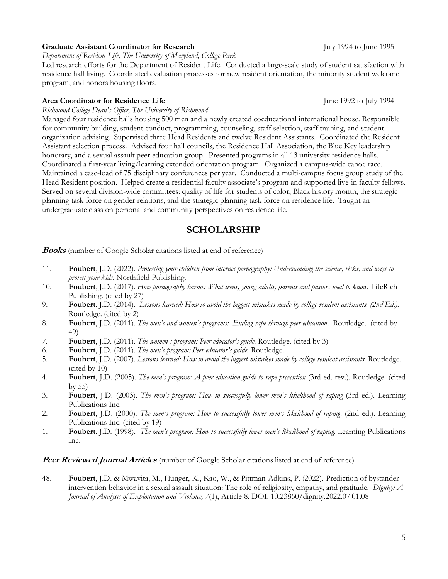#### Graduate Assistant Coordinator for Research<br>
July 1994 to June 1995

*Department of Resident Life, The University of Maryland, College Park*

Led research efforts for the Department of Resident Life. Conducted a large-scale study of student satisfaction with residence hall living. Coordinated evaluation processes for new resident orientation, the minority student welcome program, and honors housing floors.

#### **Area Coordinator for Residence Life** June 1992 to July 1994

*Richmond College Dean's Office, The University of Richmond*

Managed four residence halls housing 500 men and a newly created coeducational international house. Responsible for community building, student conduct, programming, counseling, staff selection, staff training, and student organization advising. Supervised three Head Residents and twelve Resident Assistants. Coordinated the Resident Assistant selection process. Advised four hall councils, the Residence Hall Association, the Blue Key leadership honorary, and a sexual assault peer education group. Presented programs in all 13 university residence halls. Coordinated a first-year living/learning extended orientation program. Organized a campus-wide canoe race. Maintained a case-load of 75 disciplinary conferences per year. Conducted a multi-campus focus group study of the Head Resident position. Helped create a residential faculty associate's program and supported live-in faculty fellows. Served on several division-wide committees: quality of life for students of color, Black history month, the strategic planning task force on gender relations, and the strategic planning task force on residence life. Taught an undergraduate class on personal and community perspectives on residence life.

# **SCHOLARSHIP**

**Books** (number of Google Scholar citations listed at end of reference)

- 11. **Foubert**, J.D. (2022). *Protecting your children from internet pornography: Understanding the science, risks, and ways to protect your kids.* Northfield Publishing.
- 10. **Foubert**, J.D. (2017). *How pornography harms: What teens, young adults, parents and pastors need to know.* LifeRich Publishing. (cited by 27)
- 9. **Foubert**, J.D. (2014). *Lessons learned: How to avoid the biggest mistakes made by college resident assistants. (2nd Ed.).* Routledge. (cited by 2)
- 8. **Foubert**, J.D. (2011). *The men's and women's programs: Ending rape through peer education*. Routledge. (cited by 49)
- *7.* **Foubert**, J.D. (2011). *The women's program: Peer educator's guide*. Routledge*.* (cited by 3)
- 6. **Foubert**, J.D. (2011). *The men's program: Peer educator's guide.* Routledge.
- 5. **Foubert**, J.D. (2007). *Lessons learned: How to avoid the biggest mistakes made by college resident assistants.* Routledge. (cited by 10)
- 4. **Foubert**, J.D. (2005). *The men's program: A peer education guide to rape prevention* (3rd ed. rev.). Routledge. (cited by 55)
- 3. **Foubert**, J.D. (2003). *The men's program: How to successfully lower men's likelihood of raping* (3rd ed.). Learning Publications Inc.
- 2. **Foubert**, J.D. (2000). *The men's program: How to successfully lower men's likelihood of raping*. (2nd ed.). Learning Publications Inc. (cited by 19)
- 1. **Foubert**, J.D. (1998). *The men's program: How to successfully lower men's likelihood of raping.* Learning Publications Inc.

**Peer Reviewed Journal Articles** (number of Google Scholar citations listed at end of reference)

48. **Foubert**, J.D. & Mwavita, M., Hunger, K., Kao, W., & Pittman-Adkins, P. (2022). Prediction of bystander intervention behavior in a sexual assault situation: The role of religiosity, empathy, and gratitude. *Dignity: A Journal of Analysis of Exploitation and Violence, 7*(1), Article 8. DOI: 10.23860/dignity.2022.07.01.08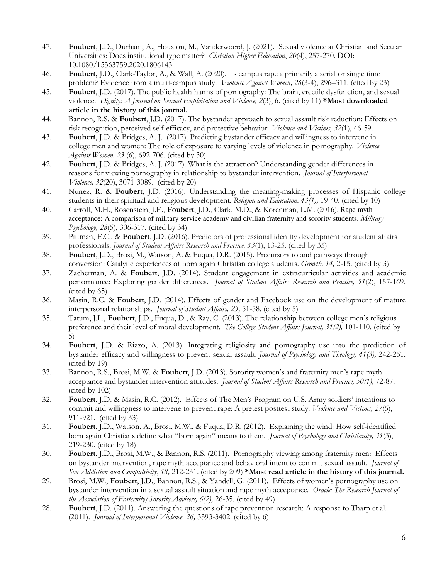- 47. **Foubert**, J.D., Durham, A., Houston, M., Vanderwoerd, J. (2021). Sexual violence at Christian and Secular Universities: Does institutional type matter? *Christian Higher Education*, *20*(4), 257-270. DOI: 10.1080/15363759.2020.1806143
- 46. **Foubert,** J.D., Clark-Taylor, A., & Wall, A. (2020). Is campus rape a primarily a serial or single time problem? Evidence from a multi-campus study. *Violence Against Women, 26*(3-4), 296–311. (cited by 23)
- 45. **Foubert**, J.D. (2017). The public health harms of pornography: The brain, erectile dysfunction, and sexual violence. *Dignity: A Journal on Sexual Exploitation and Violence, 2*(3), 6. (cited by 11) **\*Most downloaded article in the history of this journal.**
- 44. Bannon, R.S. & **Foubert**, J.D. (2017). The bystander approach to sexual assault risk reduction: Effects on risk recognition, perceived self-efficacy, and protective behavior. *Violence and Victims, 32*(1), 46-59.
- 43. **Foubert**, J.D. & Bridges, A. J. (2017). Predicting bystander efficacy and willingness to intervene in college men and women: The role of exposure to varying levels of violence in pornography. *Violence Against Women. 23* (6), 692-706. (cited by 30)
- 42. **Foubert**, J.D. & Bridges, A. J. (2017). What is the attraction? Understanding gender differences in reasons for viewing pornography in relationship to bystander intervention. *Journal of Interpersonal Violence, 32*(20), 3071-3089. (cited by 20)
- 41. Nunez, R. & **Foubert**, J.D. (2016). Understanding the meaning-making processes of Hispanic college students in their spiritual and religious development. *Religion and Education. 43(1),* 19-40. (cited by 10)
- 40. Carroll, M.H., Rosenstein, J.E., **Foubert**, J.D., Clark, M.D., & Korenman, L.M. (2016). Rape myth acceptance: A comparison of military service academy and civilian fraternity and sorority students. *Military Psychology, 28*(5), 306-317. (cited by 34)
- 39. Pittman, E.C., & **Foubert**, J.D. (2016). Predictors of professional identity development for student affairs professionals. *Journal of Student Affairs Research and Practice, 53*(1), 13-25. (cited by 35)
- 38. **Foubert**, J.D., Brosi, M., Watson, A. & Fuqua, D.R. (2015). Precursors to and pathways through conversion: Catalytic experiences of born again Christian college students. *Growth, 14,* 2-15. (cited by 3)
- 37. Zacherman, A. & **Foubert**, J.D. (2014). Student engagement in extracurricular activities and academic performance: Exploring gender differences. *Journal of Student Affairs Research and Practice, 51*(2), 157-169. (cited by 65)
- 36. Masin, R.C. & **Foubert**, J.D. (2014). Effects of gender and Facebook use on the development of mature interpersonal relationships. *Journal of Student Affairs, 23,* 51-58. (cited by 5)
- 35. Tatum, J.L., **Foubert**, J.D., Fuqua, D., & Ray, C. (2013). The relationship between college men's religious preference and their level of moral development. *The College Student Affairs Journal, 31(2),* 101-110. (cited by 5)
- 34. **Foubert**, J.D. & Rizzo, A. (2013). Integrating religiosity and pornography use into the prediction of bystander efficacy and willingness to prevent sexual assault. *Journal of Psychology and Theology, 41(3),* 242-251. (cited by 19)
- 33. Bannon, R.S., Brosi, M.W. & **Foubert**, J.D. (2013). Sorority women's and fraternity men's rape myth acceptance and bystander intervention attitudes. *Journal of Student Affairs Research and Practice, 50(1),* 72-87. (cited by 102)
- 32. **Foubert**, J.D. & Masin, R.C. (2012). Effects of The Men's Program on U.S. Army soldiers' intentions to commit and willingness to intervene to prevent rape: A pretest posttest study. *Violence and Victims, 27*(6), 911-921. (cited by 33)
- 31. **Foubert**, J.D., Watson, A., Brosi, M.W., & Fuqua, D.R. (2012). Explaining the wind: How self-identified born again Christians define what "born again" means to them. *Journal of Psychology and Christianity, 31*(3), 219-230. (cited by 18)
- 30. **Foubert**, J.D., Brosi, M.W., & Bannon, R.S. (2011). Pornography viewing among fraternity men: Effects on bystander intervention, rape myth acceptance and behavioral intent to commit sexual assault. *Journal of Sex Addiction and Compulsivity*, *18,* 212-231. (cited by 209) **\*Most read article in the history of this journal.**
- 29. Brosi, M.W., **Foubert**, J.D., Bannon, R.S., & Yandell, G. (2011). Effects of women's pornography use on bystander intervention in a sexual assault situation and rape myth acceptance. *Oracle: The Research Journal of the Association of Fraternity/Sorority Advisers, 6(2),* 26-35. (cited by 49)
- 28. **Foubert**, J.D. (2011). Answering the questions of rape prevention research: A response to Tharp et al. (2011). *Journal of Interpersonal Violence, 26,* 3393-3402. (cited by 6)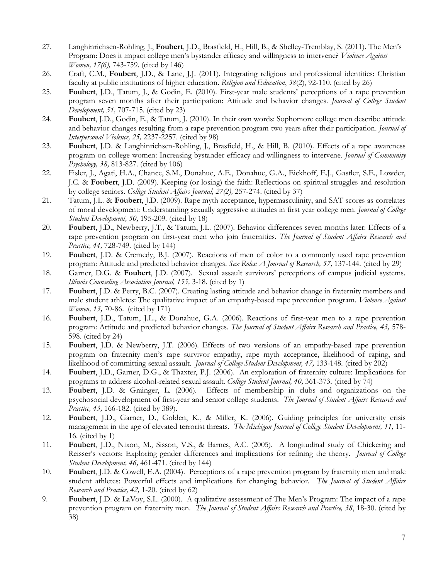- 27. Langhinrichsen-Rohling, J., **Foubert**, J.D., Brasfield, H., Hill, B., & Shelley-Tremblay, S. (2011). The Men's Program: Does it impact college men's bystander efficacy and willingness to intervene? *Violence Against Women, 17(6),* 743-759*.* (cited by 146)
- 26. Craft, C.M., **Foubert**, J.D., & Lane, J.J. (2011). Integrating religious and professional identities: Christian faculty at public institutions of higher education. *Religion and Education*, *38*(2), 92-110. (cited by 26)
- 25. **Foubert**, J.D., Tatum, J., & Godin, E. (2010). First-year male students' perceptions of a rape prevention program seven months after their participation: Attitude and behavior changes. *Journal of College Student Development, 51,* 707-715*.* (cited by 23)
- 24. **Foubert**, J.D., Godin, E., & Tatum, J. (2010). In their own words: Sophomore college men describe attitude and behavior changes resulting from a rape prevention program two years after their participation. *Journal of Interpersonal Violence, 25,* 2237-2257. (cited by 98)
- 23. **Foubert**, J.D. & Langhinrichsen-Rohling, J., Brasfield, H., & Hill, B. (2010). Effects of a rape awareness program on college women: Increasing bystander efficacy and willingness to intervene. *Journal of Community Psychology, 38,* 813-827. (cited by 106)
- 22. Fisler, J., Agati, H.A., Chance, S.M., Donahue, A.E., Donahue, G.A., Eickhoff, E.J., Gastler, S.E., Lowder, J.C. & **Foubert**, J.D. (2009). Keeping (or losing) the faith: Reflections on spiritual struggles and resolution by college seniors. *College Student Affairs Journal, 27(2),* 257-274. (cited by 37)
- 21. Tatum, J.L. & **Foubert**, J.D. (2009). Rape myth acceptance, hypermasculinity, and SAT scores as correlates of moral development: Understanding sexually aggressive attitudes in first year college men. *Journal of College Student Development, 50,* 195-209*.* (cited by 18)
- 20. **Foubert**, J.D., Newberry, J.T., & Tatum, J.L. (2007). Behavior differences seven months later: Effects of a rape prevention program on first-year men who join fraternities. *The Journal of Student Affairs Research and Practice, 44,* 728-749. (cited by 144)
- 19. **Foubert**, J.D. & Cremedy, B.J. (2007). Reactions of men of color to a commonly used rape prevention program: Attitude and predicted behavior changes. *Sex Roles: A Journal of Research, 57,* 137-144. (cited by 29)
- 18. Garner, D.G. & **Foubert**, J.D. (2007). Sexual assault survivors' perceptions of campus judicial systems. *Illinois Counseling Association Journal, 155,* 3-18. (cited by 1)
- 17. **Foubert**, J.D. & Perry, B.C. (2007). Creating lasting attitude and behavior change in fraternity members and male student athletes: The qualitative impact of an empathy-based rape prevention program. *Violence Against Women, 13, 70-86.* (cited by 171)
- 16. **Foubert**, J.D., Tatum, J.L., & Donahue, G.A. (2006). Reactions of first-year men to a rape prevention program: Attitude and predicted behavior changes. *The Journal of Student Affairs Research and Practice, 43,* 578- 598. (cited by 24)
- 15. **Foubert**, J.D. & Newberry, J.T. (2006). Effects of two versions of an empathy-based rape prevention program on fraternity men's rape survivor empathy, rape myth acceptance, likelihood of raping, and likelihood of committing sexual assault. *Journal of College Student Development, 47,* 133-148*.* (cited by 202)
- 14. **Foubert**, J.D., Garner, D.G., & Thaxter, P.J. (2006). An exploration of fraternity culture: Implications for programs to address alcohol-related sexual assault. *College Student Journal, 40,* 361-373. (cited by 74)
- 13. **Foubert**, J.D. & Grainger, L. (2006)*.* Effects of membership in clubs and organizations on the psychosocial development of first-year and senior college students. *The Journal of Student Affairs Research and Practice, 43,* 166-182*.* (cited by 389).
- 12. **Foubert**, J.D., Garner, D., Golden, K., & Miller, K. (2006). Guiding principles for university crisis management in the age of elevated terrorist threats. *The Michigan Journal of College Student Development, 11,* 11- 16*.* (cited by 1)
- 11. **Foubert**, J.D., Nixon, M., Sisson, V.S., & Barnes, A.C. (2005). A longitudinal study of Chickering and Reisser's vectors: Exploring gender differences and implications for refining the theory. *Journal of College Student Development, 46,* 461-471. (cited by 144)
- 10. **Foubert**, J.D. & Cowell, E.A. (2004). Perceptions of a rape prevention program by fraternity men and male student athletes: Powerful effects and implications for changing behavior. *The Journal of Student Affairs Research and Practice, 42,* 1-20. (cited by 62)
- 9. **Foubert**, J.D. & LaVoy, S.L. (2000). A qualitative assessment of The Men's Program: The impact of a rape prevention program on fraternity men. *The Journal of Student Affairs Research and Practice, 38*, 18-30. (cited by 38)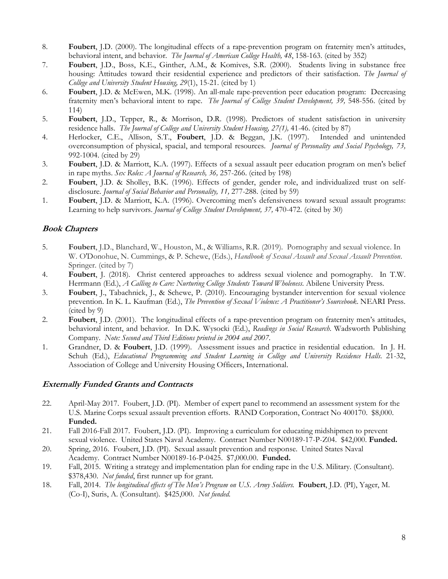- 8. **Foubert**, J.D. (2000). The longitudinal effects of a rape-prevention program on fraternity men's attitudes, behavioral intent, and behavior. *The Journal of American College Health, 48*, 158-163. (cited by 352)
- 7. **Foubert**, J.D., Boss, K.E., Ginther, A.M., & Komives, S.R. (2000).Students living in substance free housing: Attitudes toward their residential experience and predictors of their satisfaction. *The Journal of College and University Student Housing, 29*(1), 15-21. (cited by 1)
- 6. **Foubert**, J.D. & McEwen, M.K. (1998). An all-male rape-prevention peer education program: Decreasing fraternity men's behavioral intent to rape. *The Journal of College Student Development, 39,* 548-556. (cited by 114)
- 5. **Foubert**, J.D., Tepper, R., & Morrison, D.R. (1998). Predictors of student satisfaction in university residence halls. *The Journal of College and University Student Housing, 27(1), 41-46.* (cited by 87)<br>Herlocker, C.E., Allison, S.T., **Foubert**, J.D. & Beggan, J.K. (1997). Intended and unintended
- 4. Herlocker, C.E., Allison, S.T., **Foubert**, J.D. & Beggan, J.K. (1997). overconsumption of physical, spacial, and temporal resources. *Journal of Personality and Social Psychology, 73,* 992-1004. (cited by 29)
- 3. **Foubert**, J.D. & Marriott, K.A. (1997). Effects of a sexual assault peer education program on men's belief in rape myths. *Sex Roles: A Journal of Research, 36,* 257-266. (cited by 198)
- 2. **Foubert**, J.D. & Sholley, B.K. (1996). Effects of gender, gender role, and individualized trust on selfdisclosure. *Journal of Social Behavior and Personality, 11,* 277-288. (cited by 59)
- 1. **Foubert**, J.D. & Marriott, K.A. (1996). Overcoming men's defensiveness toward sexual assault programs: Learning to help survivors. *Journal of College Student Development, 37,* 470-472. (cited by 30)

# **Book Chapters**

- 5. **Foubert**, J.D., Blanchard, W., Houston, M., & Williams, R.R. (2019). Pornography and sexual violence. In W. O'Donohue, N. Cummings, & P. Schewe, (Eds.), *Handbook of Sexual Assault and Sexual Assault Prevention*. Springer. (cited by 7)
- 4. **Foubert**, J. (2018). Christ centered approaches to address sexual violence and pornography. In T.W. Herrmann (Ed.), *A Calling to Care: Nurturing College Students Toward Wholeness*. Abilene University Press.
- 3. **Foubert**, J., Tabachnick, J., & Schewe, P. (2010). Encouraging bystander intervention for sexual violence prevention. In K. L. Kaufman (Ed.), *The Prevention of Sexual Violence: A Practitioner's Sourcebook*. NEARI Press. (cited by 9)
- 2. **Foubert**, J.D. (2001). The longitudinal effects of a rape-prevention program on fraternity men's attitudes, behavioral intent, and behavior. In D.K. Wysocki (Ed.), *Readings in Social Research*. Wadsworth Publishing Company. *Note: Second and Third Editions printed in 2004 and 2007.*
- 1. Grandner, D. & **Foubert**, J.D. (1999). Assessment issues and practice in residential education. In J. H. Schuh (Ed.), *Educational Programming and Student Learning in College and University Residence Halls.* 21-32, Association of College and University Housing Officers, International.

# **Externally Funded Grants and Contracts**

- 22. April-May 2017. Foubert, J.D. (PI). Member of expert panel to recommend an assessment system for the U.S. Marine Corps sexual assault prevention efforts. RAND Corporation, Contract No 400170. \$8,000. **Funded.**
- 21. Fall 2016-Fall 2017. Foubert, J.D. (PI). Improving a curriculum for educating midshipmen to prevent sexual violence. United States Naval Academy. Contract Number N00189-17-P-Z04. \$42,000. **Funded.**
- 20. Spring, 2016. Foubert, J.D. (PI). Sexual assault prevention and response. United States Naval Academy. Contract Number N00189-16-P-0425. \$7,000.00. **Funded.**
- 19. Fall, 2015. Writing a strategy and implementation plan for ending rape in the U.S. Military. (Consultant). \$378,430. *Not funded*, first runner up for grant.
- 18. Fall, 2014. *The longitudinal effects of The Men's Program on U.S. Army Soldiers.* **Foubert**, J.D. (PI), Yager, M. (Co-I), Suris, A. (Consultant). \$425,000. *Not funded.*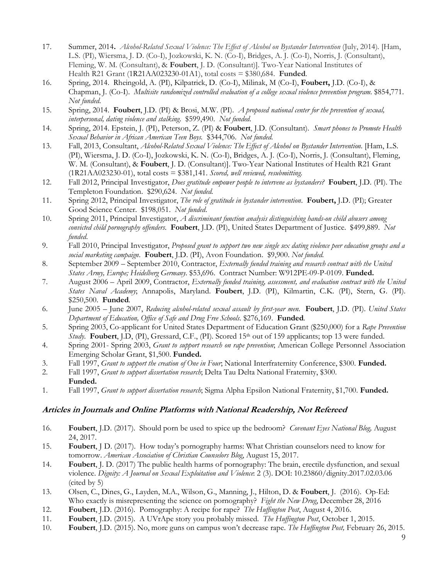- 17. Summer, 2014**.** *Alcohol-Related Sexual Violence: The Effect of Alcohol on Bystander Intervention* (July, 2014)*.* [Ham, L.S. (PI), Wiersma, J. D. (Co-I), Jozkowski, K. N. (Co-I), Bridges, A. J. (Co-I), Norris, J. (Consultant), Fleming, W. M. (Consultant), & **Foubert**, J. D. (Consultant)]. Two-Year National Institutes of Health R21 Grant (1R21AA023230-01A1), total costs = \$380,684. **Funded**.
- 16. Spring, 2014. Rheingold, A. (PI), Kilpatrick, D. (Co-I), Milinak, M (Co-I), **Foubert,** J.D. (Co-I), & Chapman, J. (Co-I). *Multisite randomized controlled evaluation of a college sexual violence prevention program.* \$854,771. *Not funded.*
- 15. Spring, 2014. **Foubert**, J.D. (PI) & Brosi, M.W. (PI). *A proposed national center for the prevention of sexual, interpersonal, dating violence and stalking.* \$599,490. *Not funded.*
- 14. Spring, 2014. Epstein, J. (PI), Peterson, Z. (PI) & **Foubert**, J.D. (Consultant). *Smart phones to Promote Health Sexual Behavior in African American Teen Boys.* \$344,706. *Not funded.*
- 13. Fall, 2013, Consultant, *Alcohol-Related Sexual Violence: The Effect of Alcohol on Bystander Intervention*. [Ham, L.S. (PI), Wiersma, J. D. (Co-I), Jozkowski, K. N. (Co-I), Bridges, A. J. (Co-I), Norris, J. (Consultant), Fleming, W. M. (Consultant), & **Foubert**, J. D. (Consultant)]. Two-Year National Institutes of Health R21 Grant (1R21AA023230-01), total costs = \$381,141. *Scored, well reviewed, resubmitting.*
- 12. Fall 2012, Principal Investigator, *Does gratitude empower people to intervene as bystanders?* **Foubert**, J.D. (PI). The Templeton Foundation. \$290,624. *Not funded.*
- 11. Spring 2012, Principal Investigator, *The role of gratitude in bystander intervention*. **Foubert,** J.D. (PI); Greater Good Science Center. \$198,051. *Not funded*.
- 10. Spring 2011, Principal Investigator, *A discriminant function analysis distinguishing hands-on child abusers among convicted child pornography offenders*. **Foubert**, J.D. (PI), United States Department of Justice. \$499,889. *Not funded*.
- 9. Fall 2010, Principal Investigator, *Proposed grant to support two new single sex dating violence peer education groups and a social marketing campaign*. **Foubert**, J.D. (PI), Avon Foundation. \$9,900. *Not funded.*
- 8. September 2009 September 2010, Contractor, *Externally funded training and research contract with the United States Army, Europe; Heidelberg Germany*. \$53,696. Contract Number: W912PE-09-P-0109. **Funded.**
- 7. August 2006 April 2009, Contractor, *Externally funded training, assessment, and evaluation contract with the United States Naval Academy*; Annapolis, Maryland. **Foubert**, J.D. (PI), Kilmartin, C.K. (PI), Stern, G. (PI). \$250,500. **Funded***.*
- 6. June 2005 June 2007, *Reducing alcohol-related sexual assault by first-year men.* **Foubert**, J.D. (PI). *United States Department of Education, Office of Safe and Drug Free Schools*. \$276,169. **Funded***.*
- 5. Spring 2003, Co-applicant for United States Department of Education Grant (\$250,000) for a *Rape Prevention Study*. **Foubert**, J.D, (PI), Gressard, C.F., (PI). Scored 15<sup>th</sup> out of 159 applicants; top 13 were funded.
- 4. Spring 2001- Spring 2003, *Grant to support research on rape prevention*; American College Personnel Association Emerging Scholar Grant, \$1,500. **Funded.**
- 3. Fall 1997, *Grant to support the creation of One in Four*; National Interfraternity Conference, \$300. **Funded.**
- 2. Fall 1997, *Grant to support dissertation research*; Delta Tau Delta National Fraternity, \$300. **Funded.**
- 1. Fall 1997, *Grant to support dissertation research*; Sigma Alpha Epsilon National Fraternity, \$1,700. **Funded.**

### **Articles in Journals and Online Platforms with National Readership, Not Refereed**

- 16. **Foubert**, J.D. (2017). Should porn be used to spice up the bedroom? *Covenant Eyes National Blog,* August 24, 2017.
- 15. **Foubert**, J D. (2017). How today's pornography harms: What Christian counselors need to know for tomorrow. *American Association of Christian Counselors Blog*, August 15, 2017.
- 14. **Foubert**, J. D. (2017) The public health harms of pornography: The brain, erectile dysfunction, and sexual violence. *Dignity: A Journal on Sexual Exploitation and Violence*: 2 (3). DOI: 10.23860/dignity.2017.02.03.06 (cited by 5)
- 13. Olsen, C., Dines, G., Layden, M.A., Wilson, G., Manning, J., Hilton, D. & **Foubert**, J. (2016). Op-Ed: Who exactly is misrepresenting the science on pornography? *Fight the New Drug*, December 28, 2016
- 12. **Foubert**, J.D. (2016). Pornography: A recipe for rape? *The Huffington Post*, August 4, 2016.
- 11. **Foubert**, J.D. (2015). A UVrApe story you probably missed. *The Huffington Post*, October 1, 2015.
- 10. **Foubert**, J.D. (2015). No, more guns on campus won't decrease rape. *The Huffington Post,* February 26, 2015.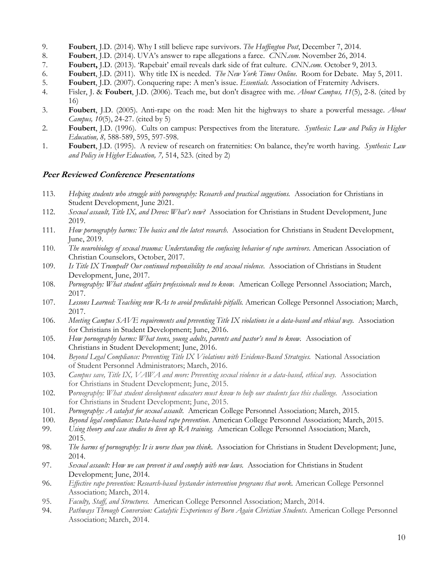- 9. **Foubert**, J.D. (2014). Why I still believe rape survivors. *The Huffington Post*, December 7, 2014.
- 8. **Foubert**, J.D. (2014). UVA's answer to rape allegations a farce. *CNN.com*. November 26, 2014.
- 7. **Foubert,** J.D. (2013). 'Rapebait' email reveals dark side of frat culture. *CNN.com.* October 9, 2013.
- 6. **Foubert**, J.D. (2011). Why title IX is needed. *The New York Times Online*. Room for Debate. May 5, 2011.
- 5. **Foubert**, J.D. (2007). Conquering rape: A men's issue. *Essentials.* Association of Fraternity Advisers.
- 4. Fisler, J. & **Foubert**, J.D. (2006). Teach me, but don't disagree with me. *About Campus, 11*(5), 2-8. (cited by 16)
- 3. **Foubert**, J.D. (2005). Anti-rape on the road: Men hit the highways to share a powerful message. *About Campus, 10*(5), 24-27. (cited by 5)
- 2. **Foubert**, J.D. (1996). Cults on campus: Perspectives from the literature. *Synthesis: Law and Policy in Higher Education, 8,* 588-589, 595, 597-598.
- 1. **Foubert**, J.D. (1995). A review of research on fraternities: On balance, they're worth having. *Synthesis: Law and Policy in Higher Education, 7,* 514, 523. (cited by 2)

#### **Peer Reviewed Conference Presentations**

- 113. *Helping students who struggle with pornography: Research and practical suggestions.* Association for Christians in Student Development, June 2021.
- 112. *Sexual assault, Title IX, and Devos: What's new?* Association for Christians in Student Development, June 2019.
- 111. *How pornography harms: The basics and the latest research*. Association for Christians in Student Development, June, 2019.
- 110. *The neurobiology of sexual trauma: Understanding the confusing behavior of rape survivors*. American Association of Christian Counselors, October, 2017.
- 109. *Is Title IX Trumped? Our continued responsibility to end sexual violence*. Association of Christians in Student Development, June, 2017.
- 108. *Pornography: What student affairs professionals need to know.* American College Personnel Association; March, 2017.
- 107. *Lessons Learned: Teaching new RAs to avoid predictable pitfalls.* American College Personnel Association; March, 2017.
- 106. *Meeting Campus SAVE requirements and preventing Title IX violations in a data-based and ethical way.* Association for Christians in Student Development; June, 2016.
- 105. *How pornography harms: What teens, young adults, parents and pastor's need to know.* Association of Christians in Student Development; June, 2016.
- 104. *Beyond Legal Compliance: Preventing Title IX Violations with Evidence-Based Strategies.* National Association of Student Personnel Administrators; March, 2016.
- 103. *Campus save, Title IX, VAWA and more: Preventing sexual violence in a data-based, ethical way.* Association for Christians in Student Development; June, 2015.
- 102. P*ornography: What student development educators must know to help our students face this challenge.* Association for Christians in Student Development; June, 2015.
- 101. *Pornography: A catalyst for sexual assault.* American College Personnel Association; March, 2015.
- 100. *Beyond legal compliance: Data-based rape prevention*. American College Personnel Association; March, 2015.
- 99. *Using theory and case studies to liven up RA training.* American College Personnel Association; March, 2015.
- 98. *The harms of pornography: It is worse than you think.* Association for Christians in Student Development; June, 2014.
- 97. *Sexual assault: How we can prevent it and comply with new laws.* Association for Christians in Student Development; June, 2014.
- 96. *Effective rape prevention: Research-based bystander intervention programs that work.* American College Personnel Association; March, 2014.
- 95. *Faculty, Staff, and Structures.* American College Personnel Association; March, 2014.
- 94. *Pathways Through Conversion: Catalytic Experiences of Born Again Christian Students*. American College Personnel Association; March, 2014.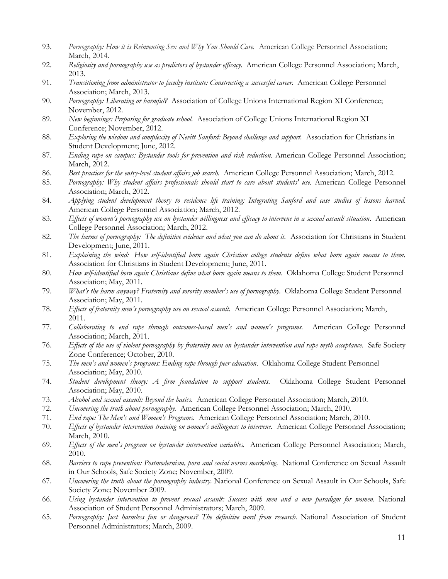- 93. *Pornography: How it is Reinventing Sex and Why You Should Care.* American College Personnel Association; March, 2014.
- 92. *Religiosity and pornography use as predictors of bystander efficacy*. American College Personnel Association; March, 2013.
- 91. *Transitioning from administrator to faculty institute: Constructing a successful career.* American College Personnel Association; March, 2013.
- 90. *Pornography: Liberating or harmful?* Association of College Unions International Region XI Conference; November, 2012.
- 89. *New beginnings: Preparing for graduate school.* Association of College Unions International Region XI Conference; November, 2012.
- 88. Exploring the wisdom and complexity of Nevitt Sanford: Beyond challenge and support. Association for Christians in Student Development; June, 2012.
- 87. *Ending rape on campus: Bystander tools for prevention and risk reduction.* American College Personnel Association; March, 2012.
- 86. *Best practices for the entry-level student affairs job search.* American College Personnel Association; March, 2012.
- 85. *Pornography: Why student affairs professionals should start to care about students' use.* American College Personnel Association; March, 2012.
- 84. *Applying student development theory to residence life training: Integrating Sanford and case studies of lessons learned*. American College Personnel Association; March, 2012.
- 83. *Effects of women's pornography use on bystander willingness and efficacy to intervene in a sexual assault situation*. American College Personnel Association; March, 2012.
- 82. *The harms of pornography: The definitive evidence and what you can do about it.* Association for Christians in Student Development; June, 2011.
- 81. *Explaining the wind: How self-identified born again Christian college students define what born again means to them*. Association for Christians in Student Development; June, 2011.
- 80. *How self-identified born again Christians define what born again means to them*. Oklahoma College Student Personnel Association; May, 2011.
- 79. *What's the harm anyway? Fraternity and sorority member's use of pornography*. Oklahoma College Student Personnel Association; May, 2011.
- 78. *Effects of fraternity men's pornography use on sexual assault*. American College Personnel Association; March, 2011.
- 77.*Collaborating to end rape through outcomes-based men's and women's programs.* American College Personnel Association; March, 2011.
- 76. *Effects of the use of violent pornography by fraternity men on bystander intervention and rape myth acceptance.* Safe Society Zone Conference; October, 2010.
- 75*. The men's and women's programs: Ending rape through peer education*. Oklahoma College Student Personnel Association; May, 2010.
- 74. *Student development theory: A firm foundation to support students*. Oklahoma College Student Personnel Association; May, 2010.
- 73. *Alcohol and sexual assault: Beyond the basics.* American College Personnel Association; March, 2010.
- 72. *Uncovering the truth about pornography.* American College Personnel Association; March, 2010.
- 71. *End rape: The Men's and Women's Programs.* American College Personnel Association; March, 2010.
- 70. *Effects of bystander intervention training on women's willingness to intervene.* American College Personnel Association; March, 2010.
- 69. *Effects of the men's program on bystander intervention variables.* American College Personnel Association; March, 2010.
- 68. *Barriers to rape prevention: Postmodernism, porn and social norms marketing*. National Conference on Sexual Assault in Our Schools, Safe Society Zone; November, 2009.
- 67. *Uncovering the truth about the pornography industry*. National Conference on Sexual Assault in Our Schools, Safe Society Zone; November 2009.
- 66. *Using bystander intervention to prevent sexual assault: Success with men and a new paradigm for women.* National Association of Student Personnel Administrators; March, 2009.
- 65. *Pornography: Just harmless fun or dangerous? The definitive word from research.* National Association of Student Personnel Administrators; March, 2009.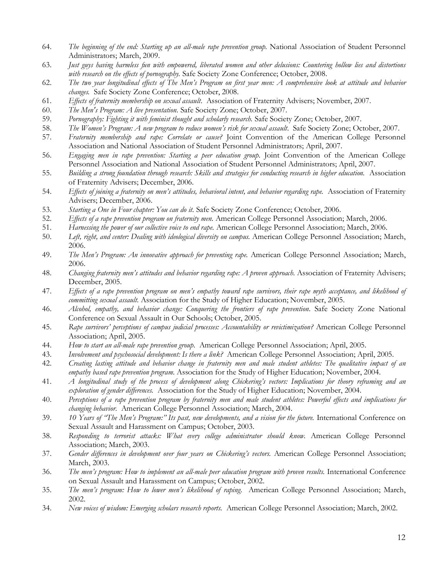- 64. *The beginning of the end: Starting up an all-male rape prevention group.* National Association of Student Personnel Administrators; March, 2009.
- 63. *Just guys having harmless fun with empowered, liberated women and other delusions: Countering hollow lies and distortions with research on the effects of pornography.* Safe Society Zone Conference; October, 2008.
- 62. *The two year longitudinal effects of The Men's Program on first year men: A comprehensive look at attitude and behavior changes.* Safe Society Zone Conference; October, 2008.
- 61. *Effects of fraternity membership on sexual assault*. Association of Fraternity Advisers; November, 2007.
- 60. *The Men's Program: A live presentation.* Safe Society Zone; October, 2007.
- 59. *Pornography: Fighting it with feminist thought and scholarly research.* Safe Society Zone; October, 2007.
- 58. *The Women's Program: A new program to reduce women's risk for sexual assault*. Safe Society Zone; October, 2007.
- 57. *Fraternity membership and rape: Correlate or cause?* Joint Convention of the American College Personnel Association and National Association of Student Personnel Administrators; April, 2007.
- 56. *Engaging men in rape prevention: Starting a peer education group.* Joint Convention of the American College Personnel Association and National Association of Student Personnel Administrators; April, 2007.
- 55. *Building a strong foundation through research: Skills and strategies for conducting research in higher education.* Association of Fraternity Advisers; December, 2006.
- 54. *Effects of joining a fraternity on men's attitudes, behavioral intent, and behavior regarding rape.* Association of Fraternity Advisers; December, 2006.
- 53. *Starting a One in Four chapter: You can do it.* Safe Society Zone Conference; October, 2006.
- 52. *Effects of a rape prevention program on fraternity men.* American College Personnel Association; March, 2006.
- 51. *Harnessing the power of our collective voice to end rape.* American College Personnel Association; March, 2006.
- 50. *Left, right, and center: Dealing with ideological diversity on campus.* American College Personnel Association; March, 2006.
- 49. *The Men's Program: An innovative approach for preventing rape.* American College Personnel Association; March, 2006.
- 48. *Changing fraternity men's attitudes and behavior regarding rape: A proven approach.* Association of Fraternity Advisers; December, 2005.
- 47. *Effects of a rape prevention program on men's empathy toward rape survivors, their rape myth acceptance, and likelihood of committing sexual assault.* Association for the Study of Higher Education; November, 2005.
- 46. *Alcohol, empathy, and behavior change: Conquering the frontiers of rape prevention*. Safe Society Zone National Conference on Sexual Assault in Our Schools; October, 2005.
- 45. *Rape survivors' perceptions of campus judicial processes: Accountability or revictimization?* American College Personnel Association; April, 2005.
- 44. *How to start an all-male rape prevention group.* American College Personnel Association; April, 2005.
- 43. *Involvement and psychosocial development: Is there a link?* American College Personnel Association; April, 2005.
- 42. *Creating lasting attitude and behavior change in fraternity men and male student athletes: The qualitative impact of an empathy based rape prevention program.* Association for the Study of Higher Education; November, 2004.
- 41. *A longitudinal study of the process of development along Chickering's vectors: Implications for theory reframing and an exploration of gender differences.* Association for the Study of Higher Education; November, 2004.
- 40. *Perceptions of a rape prevention program by fraternity men and male student athletes: Powerful effects and implications for changing behavior.* American College Personnel Association; March, 2004.
- 39. *10 Years of "The Men's Program:" Its past, new developments, and a vision for the future.* International Conference on Sexual Assault and Harassment on Campus; October, 2003.
- 38. *Responding to terrorist attacks: What every college administrator should know.* American College Personnel Association; March, 2003.
- 37. *Gender differences in development over four years on Chickering's vectors.* American College Personnel Association; March, 2003.
- 36. *The men's program: How to implement an all-male peer education program with proven results.* International Conference on Sexual Assault and Harassment on Campus; October, 2002.
- 35. *The men's program: How to lower men's likelihood of raping*. American College Personnel Association; March, 2002.
- 34. *New voices of wisdom: Emerging scholars research reports.* American College Personnel Association; March, 2002.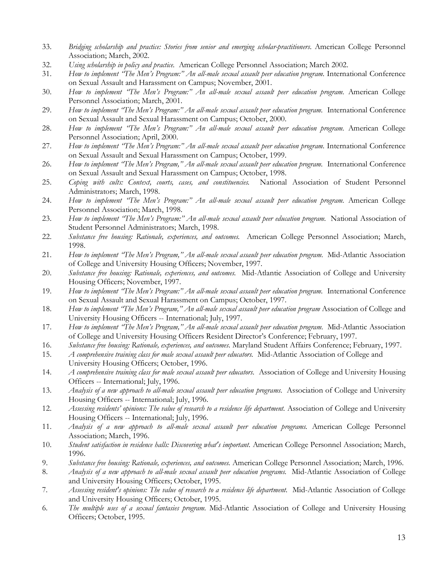- 33. *Bridging scholarship and practice: Stories from senior and emerging scholar-practitioners*. American College Personnel Association; March, 2002.
- 32. *Using scholarship in policy and practice.* American College Personnel Association; March 2002.
- 31. *How to implement "The Men's Program:" An all-male sexual assault peer education program.* International Conference on Sexual Assault and Harassment on Campus; November, 2001.
- 30. *How to implement "The Men's Program:" An all-male sexual assault peer education program.* American College Personnel Association; March, 2001.
- 29. *How to implement "The Men's Program:" An all-male sexual assault peer education program.* International Conference on Sexual Assault and Sexual Harassment on Campus; October, 2000.
- 28. *How to implement "The Men's Program:" An all-male sexual assault peer education program.* American College Personnel Association; April, 2000.
- 27. *How to implement "The Men's Program:" An all-male sexual assault peer education program*. International Conference on Sexual Assault and Sexual Harassment on Campus; October, 1999.
- 26. *How to implement "The Men's Program," An all-male sexual assault peer education program.* International Conference on Sexual Assault and Sexual Harassment on Campus; October, 1998.
- 25. *Coping with cults: Context, courts, cases, and constituencies.* National Association of Student Personnel Administrators; March, 1998.
- 24. *How to implement "The Men's Program:" An all-male sexual assault peer education program*. American College Personnel Association; March, 1998.
- 23. *How to implement "The Men's Program:" An all-male sexual assault peer education program.* National Association of Student Personnel Administrators; March, 1998.
- 22. *Substance free housing: Rationale, experiences, and outcomes.* American College Personnel Association; March, 1998.
- 21. *How to implement "The Men's Program," An all-male sexual assault peer education program.* Mid-Atlantic Association of College and University Housing Officers; November, 1997.
- 20. *Substance free housing: Rationale, experiences, and outcomes.* Mid-Atlantic Association of College and University Housing Officers; November, 1997.
- 19. *How to implement "The Men's Program:" An all-male sexual assault peer education program.* International Conference on Sexual Assault and Sexual Harassment on Campus; October, 1997.
- 18. *How to implement "The Men's Program," An all-male sexual assault peer education program* Association of College and University Housing Officers -- International; July, 1997.
- 17. *How to implement "The Men's Program," An all-male sexual assault peer education program.* Mid-Atlantic Association of College and University Housing Officers Resident Director's Conference; February, 1997.
- 16. *Substance free housing: Rationale, experiences, and outcomes*. Maryland Student Affairs Conference; February, 1997.
- 15. *A comprehensive training class for male sexual assault peer educators.* Mid-Atlantic Association of College and University Housing Officers; October, 1996.
- 14. *A comprehensive training class for male sexual assault peer educators*. Association of College and University Housing Officers -- International; July, 1996.
- 13. *Analysis of a new approach to all-male sexual assault peer education programs*. Association of College and University Housing Officers -- International; July, 1996.
- 12. *Assessing residents' opinions: The value of research to a residence life department.* Association of College and University Housing Officers -- International; July, 1996.
- 11. *Analysis of a new approach to all-male sexual assault peer education programs.* American College Personnel Association; March, 1996.
- 10. *Student satisfaction in residence halls: Discovering what's important.* American College Personnel Association; March, 1996.
- 9. *Substance free housing: Rationale, experiences, and outcomes.* American College Personnel Association; March, 1996.
- 8. *Analysis of a new approach to all-male sexual assault peer education programs.* Mid-Atlantic Association of College and University Housing Officers; October, 1995.
- 7*. Assessing resident's opinions: The value of research to a residence life department.* Mid-Atlantic Association of College and University Housing Officers; October, 1995.
- 6*. The multiple uses of a sexual fantasies program.* Mid-Atlantic Association of College and University Housing Officers; October, 1995.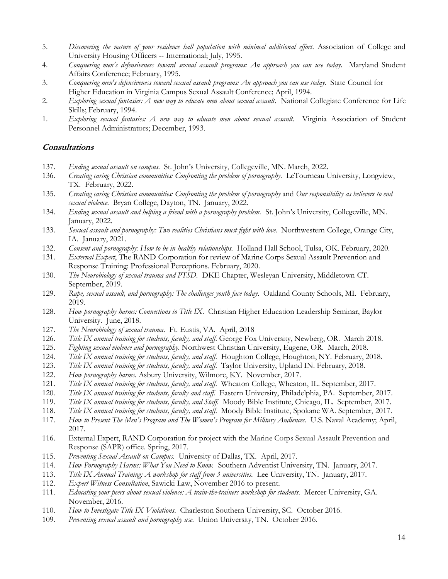- 5. *Discovering the nature of your residence hall population with minimal additional effort*. Association of College and University Housing Officers -- International; July, 1995.
- 4. *Conquering men's defensiveness toward sexual assault programs: An approach you can use today*. Maryland Student Affairs Conference; February, 1995.
- 3. *Conquering men's defensiveness toward sexual assault programs: An approach you can use today*. State Council for Higher Education in Virginia Campus Sexual Assault Conference; April, 1994.
- 2. *Exploring sexual fantasies: A new way to educate men about sexual assault*. National Collegiate Conference for Life Skills; February, 1994.
- 1. *Exploring sexual fantasies: A new way to educate men about sexual assault.* Virginia Association of Student Personnel Administrators; December, 1993.

#### **Consultations**

- 137. *Ending sexual assault on campus*. St. John's University, Collegeville, MN. March, 2022.
- 136. *Creating caring Christian communities: Confronting the problem of pornography*. LeTourneau University, Longview, TX. February, 2022.
- 135. *Creating caring Christian communities: Confronting the problem of pornography* and *Our responsibility as believers to end sexual violence*. Bryan College, Dayton, TN. January, 2022.
- 134. *Ending sexual assault and helping a friend with a pornography problem.* St. John's University, Collegeville, MN. January, 2022.
- 133. *Sexual assault and pornography: Two realities Christians must fight with love.* Northwestern College, Orange City, IA. January, 2021.
- 132. *Consent and pornography: How to be in healthy relationships*. Holland Hall School, Tulsa, OK. February, 2020.
- 131. *External Expert*, The RAND Corporation for review of Marine Corps Sexual Assault Prevention and Response Training: Professional Perceptions. February, 2020.
- 130. *The Neurobiology of sexual trauma and PTSD.* DKE Chapter, Wesleyan University, Middletown CT. September, 2019.
- 129. *Rape, sexual assault, and pornography: The challenges youth face today*. Oakland County Schools, MI. February, 2019.
- 128. *How pornography harms: Connections to Title IX*. Christian Higher Education Leadership Seminar, Baylor University. June, 2018.
- 127. *The Neurobiology of sexual trauma*. Ft. Eustis, VA. April, 2018
- 126. *Title IX annual training for students, faculty, and staff*. George Fox University, Newberg, OR. March 2018.
- 125. *Fighting sexual violence and pornography*. Northwest Christian University, Eugene, OR. March, 2018.
- 124. *Title IX annual training for students, faculty, and staff*. Houghton College, Houghton, NY. February, 2018.
- 123. *Title IX annual training for students, faculty, and staff*. Taylor University, Upland IN. February, 2018.
- 122. *How pornography harms*. Asbury University, Wilmore, KY. November, 2017.
- 121. *Title IX annual training for students, faculty, and staff*. Wheaton College, Wheaton, IL. September, 2017.
- 120*. Title IX annual training for students, faculty and staff.* Eastern University, Philadelphia, PA. September, 2017.
- 119. *Title IX annual training for students, faculty, and Staff*. Moody Bible Institute, Chicago, IL. September, 2017.
- 118. *Title IX annual training for students, faculty, and staff*. Moody Bible Institute, Spokane WA. September, 2017.
- 117. *How to Present The Men's Program and The Women's Program for Military Audiences*. U.S. Naval Academy; April, 2017.
- 116. External Expert, RAND Corporation for project with the Marine Corps Sexual Assault Prevention and Response (SAPR) office. Spring, 2017.
- 115. *Preventing Sexual Assault on Campus*. University of Dallas, TX. April, 2017.
- 114. *How Pornography Harms: What You Need to Know.* Southern Adventist University, TN. January, 2017.
- 113. *Title IX Annual Training: A workshop for staff from 3 universities*. Lee University, TN. January, 2017.
- 112. *Expert Witness Consultation*, Sawicki Law, November 2016 to present.
- 111. *Educating your peers about sexual violence: A train-the-trainers workshop for students*. Mercer University, GA. November, 2016.
- 110. *How to Investigate Title IX Violations*. Charleston Southern University, SC. October 2016.
- 109. *Preventing sexual assault and pornography use*. Union University, TN. October 2016.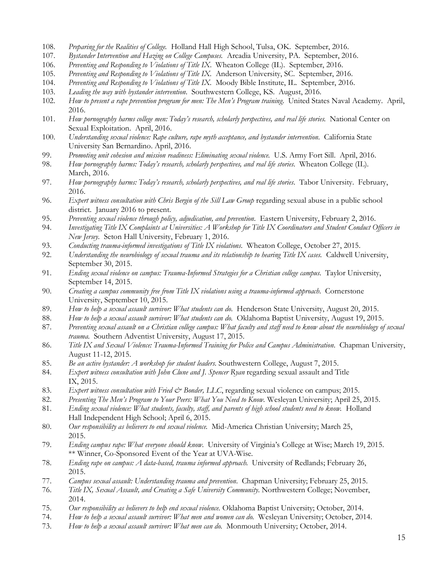- 108. *Preparing for the Realities of College.* Holland Hall High School, Tulsa, OK. September, 2016.
- 107. *Bystander Intervention and Hazing on College Campuses.* Arcadia University, PA. September, 2016.
- 106. *Preventing and Responding to Violations of Title IX*. Wheaton College (IL). September, 2016.
- 105. *Preventing and Responding to Violations of Title IX.* Anderson University, SC. September, 2016.
- 104. *Preventing and Responding to Violations of Title IX.* Moody Bible Institute, IL. September, 2016.
- 103. *Leading the way with bystander intervention*. Southwestern College, KS. August, 2016.
- 102. *How to present a rape prevention program for men: The Men's Program training*. United States Naval Academy. April, 2016.
- 101. *How pornography harms college men: Today's research, scholarly perspectives, and real life stories.* National Center on Sexual Exploitation. April, 2016.
- 100. *Understanding sexual violence: Rape culture, rape myth acceptance, and bystander intervention.* California State University San Bernardino. April, 2016.
- 99. *Promoting unit cohesion and mission readiness: Eliminating sexual violence.* U.S. Army Fort Sill. April, 2016.
- 98. *How pornography harms: Today's research, scholarly perspectives, and real life stories*. Wheaton College (IL). March, 2016.
- 97. *How pornography harms: Today's research, scholarly perspectives, and real life stories*. Tabor University. February, 2016.
- 96. *Expert witness consultation with Chris Bergin of the Sill Law Group* regarding sexual abuse in a public school district. January 2016 to present.
- 95. *Preventing sexual violence through policy, adjudication, and prevention*. Eastern University, February 2, 2016.
- 94. *Investigating Title IX Complaints at Universities: A Workshop for Title IX Coordinators and Student Conduct Officers in New Jersey*. Seton Hall University, February 1, 2016.
- 93. *Conducting trauma-informed investigations of Title IX violations*. Wheaton College, October 27, 2015.
- 92. *Understanding the neurobiology of sexual trauma and its relationship to hearing Title IX cases.* Caldwell University, September 30, 2015.
- 91. *Ending sexual violence on campus: Trauma-Informed Strategies for a Christian college campus*. Taylor University, September 14, 2015.
- 90. *Creating a campus community free from Title IX violations using a trauma-informed approach*. Cornerstone University, September 10, 2015.
- 89. *How to help a sexual assault survivor: What students can do*. Henderson State University, August 20, 2015.
- 88. *How to help a sexual assault survivor: What students can do.* Oklahoma Baptist University, August 19, 2015.
- 87. *Preventing sexual assault on a Christian college campus: What faculty and staff need to know about the neurobiology of sexual trauma.* Southern Adventist University, August 17, 2015.
- 86. *Title IX and Sexual Violence: Trauma-Informed Training for Police and Campus Administration*. Chapman University, August 11-12, 2015.
- 85. *Be an active bystander: A workshop for student leaders*. Southwestern College, August 7, 2015.
- 84. *Expert witness consultation with John Clune and J. Spencer Ryan* regarding sexual assault and Title IX, 2015.
- 83. *Expert witness consultation with Fried & Bonder, LLC*, regarding sexual violence on campus; 2015.
- 82. *Presenting The Men's Program to Your Peers: What You Need to Know.* Wesleyan University; April 25, 2015.
- 81. *Ending sexual violence: What students, faculty, staff, and parents of high school students need to know.* Holland Hall Independent High School; April 6, 2015.
- 80. *Our responsibility as believers to end sexual violence.* Mid-America Christian University; March 25, 2015.
- 79. *Ending campus rape: What everyone should know*. University of Virginia's College at Wise; March 19, 2015. \*\* Winner, Co-Sponsored Event of the Year at UVA-Wise.
- 78. *Ending rape on campus: A data-based, trauma informed approach.* University of Redlands; February 26, 2015.
- 77. *Campus sexual assault: Understanding trauma and prevention*. Chapman University; February 25, 2015.
- 76. *Title IX, Sexual Assault, and Creating a Safe University Community*. Northwestern College; November, 2014.
- 75. *Our responsibility as believers to help end sexual violence.* Oklahoma Baptist University; October, 2014.
- 74. *How to help a sexual assault survivor: What men and women can do.* Wesleyan University; October, 2014.
- 73. *How to help a sexual assault survivor: What men can do.* Monmouth University; October, 2014.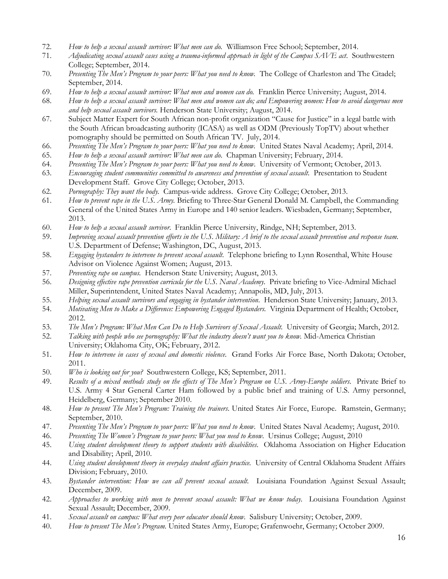- 72. *How to help a sexual assault survivor: What men can do.* Williamson Free School; September, 2014.
- 71. *Adjudicating sexual assault cases using a trauma-informed approach in light of the Campus SAVE act*. Southwestern College; September, 2014.
- 70. *Presenting The Men's Program to your peers: What you need to know.* The College of Charleston and The Citadel; September, 2014.
- 69. *How to help a sexual assault survivor: What men and women can do.* Franklin Pierce University; August, 2014.
- 68. *How to help a sexual assault survivor: What men and women can do; and Empowering women: How to avoid dangerous men and help sexual assault survivors.* Henderson State University; August, 2014.
- 67. Subject Matter Expert for South African non-profit organization "Cause for Justice" in a legal battle with the South African broadcasting authority (ICASA) as well as ODM (Previously TopTV) about whether pornography should be permitted on South African TV. July, 2014.
- 66. *Presenting The Men's Program to your peers: What you need to know.* United States Naval Academy; April, 2014.
- 65. *How to help a sexual assault survivor: What men can do*. Chapman University; February, 2014.
- 64. *Presenting The Men's Program to your peers: What you need to know*. University of Vermont; October, 2013.
- 63. *Encouraging student communities committed to awareness and prevention of sexual assault.* Presentation to Student Development Staff. Grove City College; October, 2013.
- 62. *Pornography: They want the body.* Campus-wide address. Grove City College; October, 2013.
- 61. *How to prevent rape in the U.S. Army.* Briefing to Three-Star General Donald M. Campbell, the Commanding General of the United States Army in Europe and 140 senior leaders. Wiesbaden, Germany; September, 2013.
- 60. *How to help a sexual assault survivor*. Franklin Pierce University, Rindge, NH; September, 2013.
- 59. *Improving sexual assault prevention efforts in the U.S. Military: A brief to the sexual assault prevention and response team.* U.S. Department of Defense; Washington, DC, August, 2013.
- 58. *Engaging bystanders to intervene to prevent sexual assault*. Telephone briefing to Lynn Rosenthal, White House Advisor on Violence Against Women; August, 2013.
- 57. *Preventing rape on campus.* Henderson State University; August, 2013.
- 56. *Designing effective rape prevention curricula for the U.S. Naval Academy*. Private briefing to Vice-Admiral Michael Miller, Superintendent, United States Naval Academy; Annapolis, MD, July, 2013.
- 55. *Helping sexual assault survivors and engaging in bystander intervention*. Henderson State University; January, 2013.
- 54. *Motivating Men to Make a Difference: Empowering Engaged Bystanders.* Virginia Department of Health; October, 2012.
- 53. *The Men's Program: What Men Can Do to Help Survivors of Sexual Assault.* University of Georgia; March, 2012.
- 52. *Talking with people who see pornography: What the industry doesn't want you to know.* Mid-America Christian University; Oklahoma City, OK; February, 2012.
- 51. *How to intervene in cases of sexual and domestic violence*. Grand Forks Air Force Base, North Dakota; October, 2011.
- 50. *Who is looking out for you?* Southwestern College, KS; September, 2011.
- 49. *Results of a mixed methods study on the effects of The Men's Program on U.S. Army-Europe soldiers*. Private Brief to U.S. Army 4 Star General Carter Ham followed by a public brief and training of U.S. Army personnel, Heidelberg, Germany; September 2010.
- 48. *How to present The Men's Program: Training the trainers*. United States Air Force, Europe. Ramstein, Germany; September, 2010.
- 47. *Presenting The Men's Program to your peers: What you need to know*. United States Naval Academy; August, 2010.
- 46. *Presenting The Women's Program to your peers: What you need to know*. Ursinus College; August, 2010
- 45. *Using student development theory to support students with disabilities*. Oklahoma Association on Higher Education and Disability; April, 2010.
- 44. *Using student development theory in everyday student affairs practice*. University of Central Oklahoma Student Affairs Division; February, 2010.
- 43. *Bystander intervention: How we can all prevent sexual assault*. Louisiana Foundation Against Sexual Assault; December, 2009.
- 42. *Approaches to working with men to prevent sexual assault: What we know today*. Louisiana Foundation Against Sexual Assault; December, 2009.
- 41. *Sexual assault on campus: What every peer educator should know*. Salisbury University; October, 2009.
- 40. *How to present The Men's Program.* United States Army, Europe; Grafenwoehr, Germany; October 2009.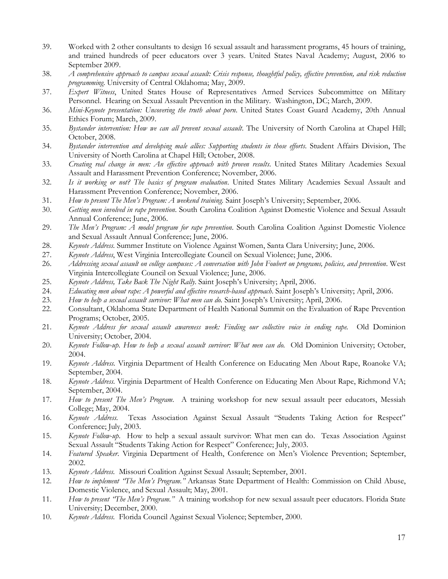- 39. Worked with 2 other consultants to design 16 sexual assault and harassment programs, 45 hours of training, and trained hundreds of peer educators over 3 years. United States Naval Academy; August, 2006 to September 2009.
- 38. *A comprehensive approach to campus sexual assault: Crisis response, thoughtful policy, effective prevention, and risk reduction programming*. University of Central Oklahoma; May, 2009.
- 37. *Expert Witness*, United States House of Representatives Armed Services Subcommittee on Military Personnel. Hearing on Sexual Assault Prevention in the Military. Washington, DC; March, 2009.
- 36. *Mini-Keynote presentation: Uncovering the truth about porn*. United States Coast Guard Academy, 20th Annual Ethics Forum; March, 2009.
- 35. *Bystander intervention: How we can all prevent sexual assault*. The University of North Carolina at Chapel Hill; October, 2008.
- 34. *Bystander intervention and developing male allies: Supporting students in those efforts*. Student Affairs Division, The University of North Carolina at Chapel Hill; October, 2008.
- 33. *Creating real change in men: An effective approach with proven results*. United States Military Academies Sexual Assault and Harassment Prevention Conference; November, 2006.
- 32. *Is it working or not? The basics of program evaluation*. United States Military Academies Sexual Assault and Harassment Prevention Conference; November, 2006.
- 31. *How to present The Men's Program: A weekend training.* Saint Joseph's University; September, 2006.
- 30. *Getting men involved in rape prevention*. South Carolina Coalition Against Domestic Violence and Sexual Assault Annual Conference; June, 2006.
- 29. *The Men's Program: A model program for rape prevention*. South Carolina Coalition Against Domestic Violence and Sexual Assault Annual Conference; June, 2006.
- 28. *Keynote Address*. Summer Institute on Violence Against Women, Santa Clara University; June, 2006.
- 27. *Keynote Address*, West Virginia Intercollegiate Council on Sexual Violence; June, 2006.
- 26. *Addressing sexual assault on college campuses: A conversation with John Foubert on programs, policies, and prevention*. West Virginia Intercollegiate Council on Sexual Violence; June, 2006.
- 25. *Keynote Address, Take Back The Night Rally*. Saint Joseph's University; April, 2006.
- 24. *Educating men about rape: A powerful and effective research-based approach*. Saint Joseph's University; April, 2006.
- 23. *How to help a sexual assault survivor: What men can do.* Saint Joseph's University; April, 2006.
- 22. Consultant, Oklahoma State Department of Health National Summit on the Evaluation of Rape Prevention Programs; October, 2005.
- 21. *Keynote Address for sexual assault awareness week: Finding our collective voice in ending rape.* Old Dominion University; October, 2004.
- 20. *Keynote Follow-up. How to help a sexual assault survivor: What men can do.* Old Dominion University; October, 2004.
- 19. *Keynote Address.* Virginia Department of Health Conference on Educating Men About Rape, Roanoke VA; September, 2004.
- 18. *Keynote Address*. Virginia Department of Health Conference on Educating Men About Rape, Richmond VA; September, 2004.
- 17. *How to present The Men's Program*. A training workshop for new sexual assault peer educators, Messiah College; May, 2004.
- 16. *Keynote Address*. Texas Association Against Sexual Assault "Students Taking Action for Respect" Conference; July, 2003.
- 15. *Keynote Follow-up*. How to help a sexual assault survivor: What men can do. Texas Association Against Sexual Assault "Students Taking Action for Respect" Conference; July, 2003.
- 14. *Featured Speaker*. Virginia Department of Health, Conference on Men's Violence Prevention; September, 2002.
- 13. *Keynote Address*. Missouri Coalition Against Sexual Assault; September, 2001.
- 12. *How to implement "The Men's Program."* Arkansas State Department of Health: Commission on Child Abuse, Domestic Violence, and Sexual Assault; May, 2001.
- 11. *How to present "The Men's Program."* A training workshop for new sexual assault peer educators. Florida State University; December, 2000.
- 10. *Keynote Address*. Florida Council Against Sexual Violence; September, 2000.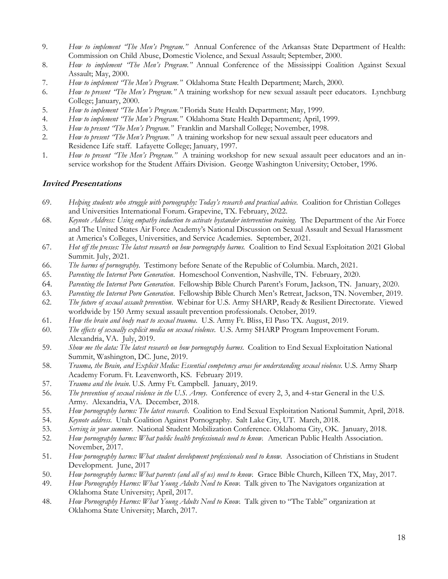- 9. *How to implement "The Men's Program."* Annual Conference of the Arkansas State Department of Health: Commission on Child Abuse, Domestic Violence, and Sexual Assault; September, 2000.
- 8. *How to implement "The Men's Program."* Annual Conference of the Mississippi Coalition Against Sexual Assault; May, 2000.
- 7. *How to implement "The Men's Program."* Oklahoma State Health Department; March, 2000.
- 6. *How to present "The Men's Program."* A training workshop for new sexual assault peer educators. Lynchburg College; January, 2000.
- 5. *How to implement "The Men's Program."* Florida State Health Department; May, 1999.
- 4. *How to implement "The Men's Program."* Oklahoma State Health Department; April, 1999.
- 3. *How to present "The Men's Program."* Franklin and Marshall College; November, 1998.
- 2. *How to present "The Men's Program."* A training workshop for new sexual assault peer educators and
- Residence Life staff. Lafayette College; January, 1997.
- 1*. How to present "The Men's Program."* A training workshop for new sexual assault peer educators and an inservice workshop for the Student Affairs Division. George Washington University; October, 1996.

#### **Invited Presentations**

- 69. *Helping students who struggle with pornography: Today's research and practical advice.* Coalition for Christian Colleges and Universities International Forum. Grapevine, TX. February, 2022.
- 68. *Keynote Address: Using empathy induction to activate bystander intervention training*. The Department of the Air Force and The United States Air Force Academy's National Discussion on Sexual Assault and Sexual Harassment at America's Colleges, Universities, and Service Academies. September, 2021.
- 67. *Hot off the presses: The latest research on how pornography harms.* Coalition to End Sexual Exploitation 2021 Global Summit. July, 2021.
- 66. *The harms of pornography*. Testimony before Senate of the Republic of Columbia. March, 2021.
- 65. *Parenting the Internet Porn Generation*. Homeschool Convention, Nashville, TN. February, 2020.
- 64. *Parenting the Internet Porn Generation*. Fellowship Bible Church Parent's Forum, Jackson, TN. January, 2020.
- 63. *Parenting the Internet Porn Generation*. Fellowship Bible Church Men's Retreat, Jackson, TN. November, 2019.
- 62. *The future of sexual assault prevention*. Webinar for U.S. Army SHARP, Ready & Resilient Directorate. Viewed worldwide by 150 Army sexual assault prevention professionals. October, 2019.
- 61. *How the brain and body react to sexual trauma*. U.S. Army Ft. Bliss, El Paso TX. August, 2019.
- 60. *The effects of sexually explicit media on sexual violence*. U.S. Army SHARP Program Improvement Forum. Alexandria, VA. July, 2019.
- 59. *Show me the data: The latest research on how pornography harms*. Coalition to End Sexual Exploitation National Summit, Washington, DC. June, 2019.
- 58. *Trauma, the Brain, and Explicit Media: Essential competency areas for understanding sexual violence.* U.S. Army Sharp Academy Forum. Ft. Leavenworth, KS. February 2019.
- 57. *Trauma and the brain*. U.S. Army Ft. Campbell. January, 2019.
- 56. *The prevention of sexual violence in the U.S. Army*. Conference of every 2, 3, and 4-star General in the U.S. Army. Alexandria, VA. December, 2018.
- 55. *How pornography harms: The latest research*. Coalition to End Sexual Exploitation National Summit, April, 2018.
- 54. *Keynote address*. Utah Coalition Against Pornography. Salt Lake City, UT. March, 2018.
- 53. *Serving in your summer*. National Student Mobilization Conference. Oklahoma City, OK. January, 2018.
- 52. *How pornography harms: What public health professionals need to know.* American Public Health Association. November, 2017.
- 51. *How pornography harms: What student development professionals need to know.* Association of Christians in Student Development. June, 2017
- 50. *How pornography harms: What parents (and all of us) need to know.* Grace Bible Church, Killeen TX, May, 2017.
- 49. *How Pornography Harms: What Young Adults Need to Know.* Talk given to The Navigators organization at Oklahoma State University; April, 2017.
- 48. *How Pornography Harms: What Young Adults Need to Know.* Talk given to "The Table" organization at Oklahoma State University; March, 2017.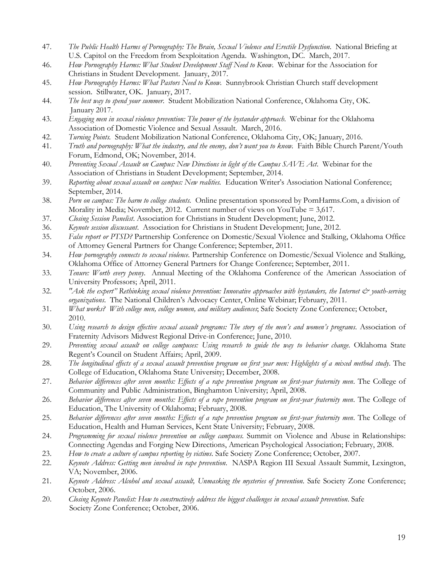- 47. *The Public Health Harms of Pornography: The Brain, Sexual Violence and Erectile Dysfunction.* National Briefing at U.S. Capitol on the Freedom from Sexploitation Agenda. Washington, DC. March, 2017.
- 46. *How Pornography Harms: What Student Development Staff Need to Know*. Webinar for the Association for Christians in Student Development. January, 2017.
- 45. *How Pornography Harms: What Pastors Need to Know.* Sunnybrook Christian Church staff development session. Stillwater, OK. January, 2017.
- 44. *The best way to spend your summer*. Student Mobilization National Conference, Oklahoma City, OK. January 2017.
- 43. *Engaging men in sexual violence prevention: The power of the bystander approach*. Webinar for the Oklahoma Association of Domestic Violence and Sexual Assault. March, 2016.
- 42. *Turning Points.* Student Mobilization National Conference, Oklahoma City, OK; January, 2016.
- 41. *Truth and pornography: What the industry, and the enemy, don't want you to know.* Faith Bible Church Parent/Youth Forum, Edmond, OK; November, 2014.
- 40. *Preventing Sexual Assault on Campus: New Directions in light of the Campus SAVE Act*. Webinar for the Association of Christians in Student Development; September, 2014.
- 39. *Reporting about sexual assault on campus: New realities.* Education Writer's Association National Conference; September, 2014.
- 38. *Porn on campus: The harm to college students.* Online presentation sponsored by PornHarms.Com, a division of Morality in Media; November, 2012. Current number of views on YouTube = 3,617.
- 37*. Closing Session Panelist*. Association for Christians in Student Development; June, 2012.
- 36. *Keynote session discussant*. Association for Christians in Student Development; June, 2012.
- 35. *False report or PTSD?* Partnership Conference on Domestic/Sexual Violence and Stalking, Oklahoma Office of Attorney General Partners for Change Conference; September, 2011.
- 34. *How pornography connects to sexual violence*. Partnership Conference on Domestic/Sexual Violence and Stalking, Oklahoma Office of Attorney General Partners for Change Conference; September, 2011.
- 33. *Tenure: Worth every penny*. Annual Meeting of the Oklahoma Conference of the American Association of University Professors; April, 2011.
- 32. *"Ask the expert" Rethinking sexual violence prevention: Innovative approaches with bystanders, the Internet*  $\dot{\mathcal{O}}$  *youth-serving organizations*. The National Children's Advocacy Center, Online Webinar; February, 2011.
- 31. *What works? With college men, college women, and military audiences*; Safe Society Zone Conference; October, 2010.
- 30. *Using research to design effective sexual assault programs: The story of the men's and women's programs*. Association of Fraternity Advisors Midwest Regional Drive-in Conference; June, 2010.
- 29. *Preventing sexual assault on college campuses: Using research to guide the way to behavior change*. Oklahoma State Regent's Council on Student Affairs; April, 2009.
- 28. *The longitudinal effects of a sexual assault prevention program on first year men: Highlights of a mixed method study*. The College of Education, Oklahoma State University; December, 2008.
- 27. *Behavior differences after seven months: Effects of a rape prevention program on first-year fraternity men*. The College of Community and Public Administration, Binghamton University; April, 2008.
- 26. *Behavior differences after seven months: Effects of a rape prevention program on first-year fraternity men*. The College of Education, The University of Oklahoma; February, 2008.
- 25. *Behavior differences after seven months: Effects of a rape prevention program on first-year fraternity men*. The College of Education, Health and Human Services, Kent State University; February, 2008.
- 24. *Programming for sexual violence prevention on college campuses.* Summit on Violence and Abuse in Relationships: Connecting Agendas and Forging New Directions, American Psychological Association; February, 2008.
- 23. *How to create a culture of campus reporting by victims*. Safe Society Zone Conference; October, 2007.
- 22. *Keynote Address: Getting men involved in rape prevention*. NASPA Region III Sexual Assault Summit, Lexington, VA; November, 2006.
- 21*. Keynote Address: Alcohol and sexual assault, Unmasking the mysteries of prevention.* Safe Society Zone Conference; October, 2006.
- 20. *Closing Keynote Panelist: How to constructively address the biggest challenges in sexual assault prevention*. Safe Society Zone Conference; October, 2006.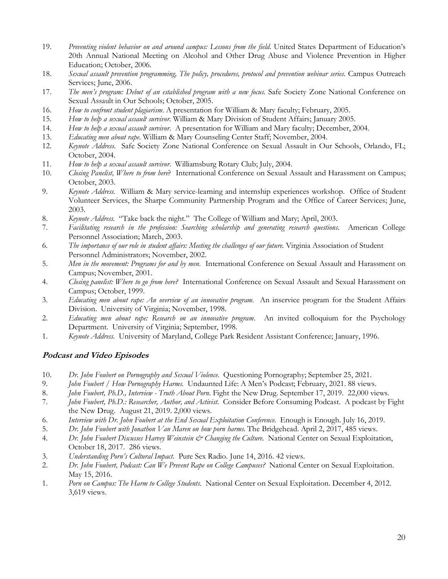- 19. *Preventing violent behavior on and around campus: Lessons from the field.* United States Department of Education's 20th Annual National Meeting on Alcohol and Other Drug Abuse and Violence Prevention in Higher Education; October, 2006.
- 18. *Sexual assault prevention programming, The policy, procedures, protocol and prevention webinar series*. Campus Outreach Services; June, 2006.
- 17. *The men's program: Debut of an established program with a new focus*. Safe Society Zone National Conference on Sexual Assault in Our Schools; October, 2005.
- 16. *How to confront student plagiarism*. A presentation for William & Mary faculty; February, 2005.
- 15. *How to help a sexual assault survivor.* William & Mary Division of Student Affairs; January 2005.
- 14. *How to help a sexual assault survivor*. A presentation for William and Mary faculty; December, 2004.
- 13. *Educating men about rape*. William & Mary Counseling Center Staff; November, 2004.
- 12. *Keynote Address*. Safe Society Zone National Conference on Sexual Assault in Our Schools, Orlando, FL; October, 2004.
- 11. *How to help a sexual assault survivor*. Williamsburg Rotary Club; July, 2004.<br>10. *Closing Panelist, Where to from here?* International Conference on Sexual A
- 10. *Closing Panelist, Where to from here*? International Conference on Sexual Assault and Harassment on Campus; October, 2003.
- 9. *Keynote Address*. William & Mary service-learning and internship experiences workshop. Office of Student Volunteer Services, the Sharpe Community Partnership Program and the Office of Career Services; June, 2003.
- 8. *Keynote Address*. "Take back the night." The College of William and Mary; April, 2003.
- 7. *Facilitating research in the profession: Searching scholarship and generating research questions*. American College Personnel Association; March, 2003.
- 6*. The importance of our role in student affairs: Meeting the challenges of our future*. Virginia Association of Student Personnel Administrators; November, 2002.
- 5. *Men in the movement: Programs for and by men*. International Conference on Sexual Assault and Harassment on Campus; November, 2001.
- 4. *Closing panelist: Where to go from here?* International Conference on Sexual Assault and Sexual Harassment on Campus; October, 1999.
- 3. *Educating men about rape: An overview of an innovative program*. An inservice program for the Student Affairs Division. University of Virginia; November, 1998.
- 2. *Educating men about rape: Research on an innovative program*. An invited colloquium for the Psychology Department. University of Virginia; September, 1998.
- 1. *Keynote Address*. University of Maryland, College Park Resident Assistant Conference; January, 1996.

### **Podcast and Video Episodes**

- 10. *Dr. John Foubert on Pornography and Sexual Violence*. Questioning Pornography; September 25, 2021.
- 9. *John Foubert / How Pornography Harms*. Undaunted Life: A Men's Podcast; February, 2021. 88 views.
- 8. *John Foubert, Ph.D., Interview - Truth About Porn*. Fight the New Drug. September 17, 2019. 22,000 views.
- 7. *John Foubert, Ph.D.: Researcher, Author, and Activist*. Consider Before Consuming Podcast. A podcast by Fight the New Drug. August 21, 2019. 2,000 views.
- 6. *Interview with Dr. John Foubert at the End Sexual Exploitation Conference*. Enough is Enough. July 16, 2019.
- 5. *Dr. John Foubert with Jonathon Van Maren on how porn harms*. The Bridgehead. April 2, 2017, 485 views.
- 4. *Dr. John Foubert Discusses Harvey Weinstein & Changing the Culture*. National Center on Sexual Exploitation, October 18, 2017. 286 views.
- 3. *Understanding Porn's Cultural Impact*. Pure Sex Radio. June 14, 2016. 42 views.
- 2. *Dr. John Foubert, Podcast: Can We Prevent Rape on College Campuses?* National Center on Sexual Exploitation. May 15, 2016.
- 1. *Porn on Campus: The Harm to College Students*. National Center on Sexual Exploitation. December 4, 2012. 3,619 views.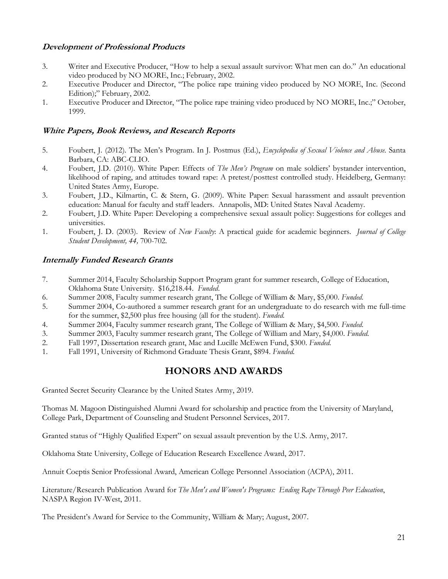#### **Development of Professional Products**

- 3. Writer and Executive Producer, "How to help a sexual assault survivor: What men can do." An educational video produced by NO MORE, Inc.; February, 2002.
- 2. Executive Producer and Director, "The police rape training video produced by NO MORE, Inc. (Second Edition);" February, 2002.
- 1. Executive Producer and Director, "The police rape training video produced by NO MORE, Inc.;" October, 1999.

#### **White Papers, Book Reviews, and Research Reports**

- 5. Foubert, J. (2012). The Men's Program. In J. Postmus (Ed.), *Encyclopedia of Sexual Violence and Abuse*. Santa Barbara, CA: ABC-CLIO.
- 4. Foubert, J.D. (2010). White Paper: Effects of *The Men's Program* on male soldiers' bystander intervention, likelihood of raping, and attitudes toward rape: A pretest/posttest controlled study. Heidelberg, Germany: United States Army, Europe.
- 3. Foubert, J.D., Kilmartin, C. & Stern, G. (2009). White Paper: Sexual harassment and assault prevention education: Manual for faculty and staff leaders. Annapolis, MD: United States Naval Academy.
- 2. Foubert, J.D. White Paper: Developing a comprehensive sexual assault policy: Suggestions for colleges and universities.
- 1. Foubert, J. D. (2003). Review of *New Faculty*: A practical guide for academic beginners. *Journal of College Student Development, 44,* 700-702*.*

#### **Internally Funded Research Grants**

- 7. Summer 2014, Faculty Scholarship Support Program grant for summer research, College of Education, Oklahoma State University. \$16,218.44. *Funded*.
- 6. Summer 2008, Faculty summer research grant, The College of William & Mary, \$5,000. *Funded.*
- 5. Summer 2004, Co-authored a summer research grant for an undergraduate to do research with me full-time for the summer, \$2,500 plus free housing (all for the student). *Funded.*
- 4. Summer 2004, Faculty summer research grant, The College of William & Mary, \$4,500. *Funded.*
- 3. Summer 2003, Faculty summer research grant, The College of William and Mary, \$4,000. *Funded.*
- 2. Fall 1997, Dissertation research grant, Mac and Lucille McEwen Fund, \$300. *Funded.*
- 1. Fall 1991, University of Richmond Graduate Thesis Grant, \$894. *Funded.*

# **HONORS AND AWARDS**

Granted Secret Security Clearance by the United States Army, 2019.

Thomas M. Magoon Distinguished Alumni Award for scholarship and practice from the University of Maryland, College Park, Department of Counseling and Student Personnel Services, 2017.

Granted status of "Highly Qualified Expert" on sexual assault prevention by the U.S. Army, 2017.

Oklahoma State University, College of Education Research Excellence Award, 2017.

Annuit Coeptis Senior Professional Award, American College Personnel Association (ACPA), 2011.

Literature/Research Publication Award for *The Men's and Women's Programs: Ending Rape Through Peer Education*, NASPA Region IV-West, 2011.

The President's Award for Service to the Community, William & Mary; August, 2007.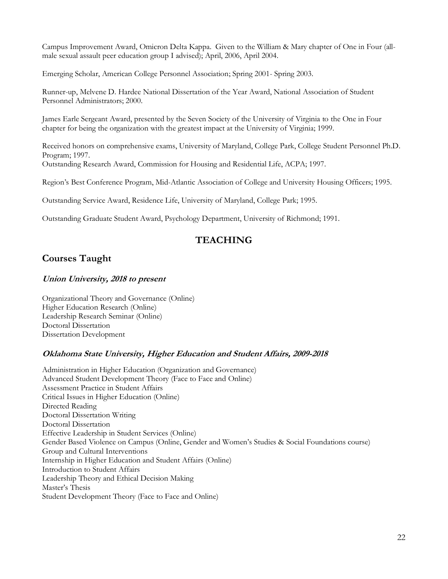Campus Improvement Award, Omicron Delta Kappa. Given to the William & Mary chapter of One in Four (allmale sexual assault peer education group I advised); April, 2006, April 2004.

Emerging Scholar, American College Personnel Association; Spring 2001- Spring 2003.

Runner-up, Melvene D. Hardee National Dissertation of the Year Award, National Association of Student Personnel Administrators; 2000.

James Earle Sergeant Award, presented by the Seven Society of the University of Virginia to the One in Four chapter for being the organization with the greatest impact at the University of Virginia; 1999.

Received honors on comprehensive exams, University of Maryland, College Park, College Student Personnel Ph.D. Program; 1997. Outstanding Research Award, Commission for Housing and Residential Life, ACPA; 1997.

Region's Best Conference Program, Mid-Atlantic Association of College and University Housing Officers; 1995.

Outstanding Service Award, Residence Life, University of Maryland, College Park; 1995.

Outstanding Graduate Student Award, Psychology Department, University of Richmond; 1991.

# **TEACHING**

# **Courses Taught**

### **Union University, 2018 to present**

Organizational Theory and Governance (Online) Higher Education Research (Online) Leadership Research Seminar (Online) Doctoral Dissertation Dissertation Development

### **Oklahoma State University, Higher Education and Student Affairs, 2009-2018**

Administration in Higher Education (Organization and Governance) Advanced Student Development Theory (Face to Face and Online) Assessment Practice in Student Affairs Critical Issues in Higher Education (Online) Directed Reading Doctoral Dissertation Writing Doctoral Dissertation Effective Leadership in Student Services (Online) Gender Based Violence on Campus (Online, Gender and Women's Studies & Social Foundations course) Group and Cultural Interventions Internship in Higher Education and Student Affairs (Online) Introduction to Student Affairs Leadership Theory and Ethical Decision Making Master's Thesis Student Development Theory (Face to Face and Online)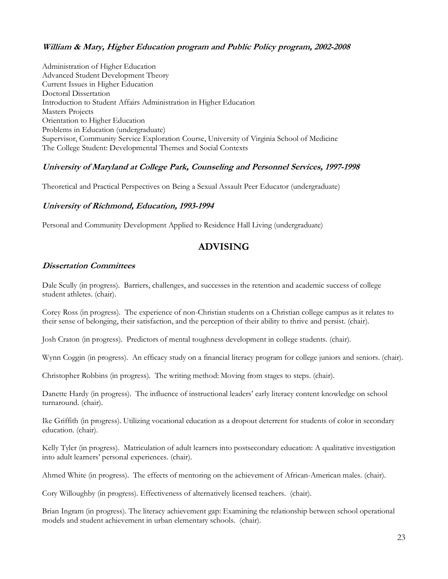### **William & Mary, Higher Education program and Public Policy program, 2002-2008**

Administration of Higher Education Advanced Student Development Theory Current Issues in Higher Education Doctoral Dissertation Introduction to Student Affairs Administration in Higher Education Masters Projects Orientation to Higher Education Problems in Education (undergraduate) Supervisor, Community Service Exploration Course, University of Virginia School of Medicine The College Student: Developmental Themes and Social Contexts

### **University of Maryland at College Park, Counseling and Personnel Services, 1997-1998**

Theoretical and Practical Perspectives on Being a Sexual Assault Peer Educator (undergraduate)

#### **University of Richmond, Education, 1993-1994**

Personal and Community Development Applied to Residence Hall Living (undergraduate)

# **ADVISING**

#### **Dissertation Committees**

Dale Scully (in progress). Barriers, challenges, and successes in the retention and academic success of college student athletes. (chair).

Corey Ross (in progress). The experience of non-Christian students on a Christian college campus as it relates to their sense of belonging, their satisfaction, and the perception of their ability to thrive and persist. (chair).

Josh Craton (in progress). Predictors of mental toughness development in college students. (chair).

Wynn Coggin (in progress). An efficacy study on a financial literacy program for college juniors and seniors. (chair).

Christopher Robbins (in progress). The writing method: Moving from stages to steps. (chair).

Danette Hardy (in progress). The influence of instructional leaders' early literacy content knowledge on school turnaround. (chair).

Ike Griffith (in progress). Utilizing vocational education as a dropout deterrent for students of color in secondary education. (chair).

Kelly Tyler (in progress). Matriculation of adult learners into postsecondary education: A qualitative investigation into adult learners' personal experiences. (chair).

Ahmed White (in progress). The effects of mentoring on the achievement of African-American males. (chair).

Cory Willoughby (in progress). Effectiveness of alternatively licensed teachers. (chair).

Brian Ingram (in progress). The literacy achievement gap: Examining the relationship between school operational models and student achievement in urban elementary schools. (chair).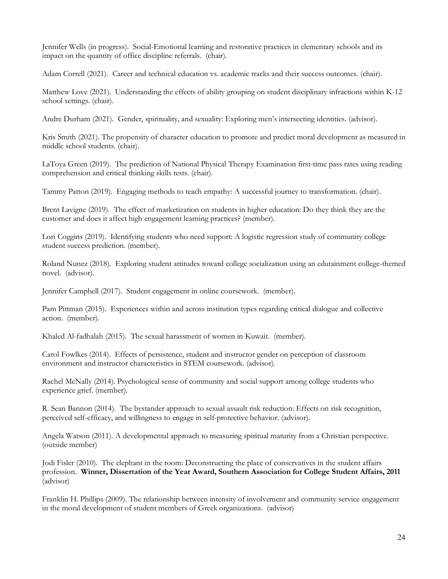Jennifer Wells (in progress). Social-Emotional learning and restorative practices in elementary schools and its impact on the quantity of office discipline referrals. (chair).

Adam Correll (2021). Career and technical education vs. academic tracks and their success outcomes. (chair).

Matthew Love (2021). Understanding the effects of ability grouping on student disciplinary infractions within K-12 school settings. (chair).

Andre Durham (2021). Gender, spirituality, and sexuality: Exploring men's intersecting identities. (advisor).

Kris Smith (2021). The propensity of character education to promote and predict moral development as measured in middle school students. (chair).

LaToya Green (2019). The prediction of National Physical Therapy Examination first-time pass rates using reading comprehension and critical thinking skills tests. (chair).

Tammy Patton (2019). Engaging methods to teach empathy: A successful journey to transformation. (chair).

Brent Lavigne (2019). The effect of marketization on students in higher education: Do they think they are the customer and does it affect high engagement learning practices? (member).

Lori Coggins (2019). Identifying students who need support: A logistic regression study of community college student success prediction. (member).

Roland Nunez (2018). Exploring student attitudes toward college socialization using an edutainment college-themed novel. (advisor).

Jennifer Campbell (2017). Student engagement in online coursework. (member).

Pam Pittman (2015). Experiences within and across institution types regarding critical dialogue and collective action. (member).

Khaled Al-fadhalah (2015). The sexual harassment of women in Kuwait. (member).

Carol Fowlkes (2014). Effects of persistence, student and instructor gender on perception of classroom environment and instructor characteristics in STEM coursework. (advisor).

Rachel McNally (2014). Psychological sense of community and social support among college students who experience grief. (member).

R. Sean Bannon (2014). The bystander approach to sexual assault risk reduction: Effects on risk recognition, perceived self-efficacy, and willingness to engage in self-protective behavior. (advisor).

Angela Watson (2011). A developmental approach to measuring spiritual maturity from a Christian perspective. (outside member)

Jodi Fisler (2010). The elephant in the room: Deconstructing the place of conservatives in the student affairs profession. **Winner, Dissertation of the Year Award, Southern Association for College Student Affairs, 2011** (advisor)

Franklin H. Phillips (2009). The relationship between intensity of involvement and community service engagement in the moral development of student members of Greek organizations. (advisor)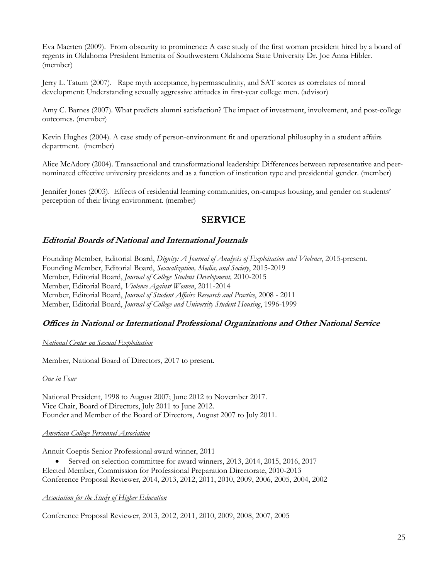Eva Maerten (2009). From obscurity to prominence: A case study of the first woman president hired by a board of regents in Oklahoma President Emerita of Southwestern Oklahoma State University Dr. Joe Anna Hibler. (member)

Jerry L. Tatum (2007). Rape myth acceptance, hypermasculinity, and SAT scores as correlates of moral development: Understanding sexually aggressive attitudes in first-year college men. (advisor)

Amy C. Barnes (2007). What predicts alumni satisfaction? The impact of investment, involvement, and post-college outcomes. (member)

Kevin Hughes (2004). A case study of person-environment fit and operational philosophy in a student affairs department. (member)

Alice McAdory (2004). Transactional and transformational leadership: Differences between representative and peernominated effective university presidents and as a function of institution type and presidential gender. (member)

Jennifer Jones (2003). Effects of residential learning communities, on-campus housing, and gender on students' perception of their living environment. (member)

# **SERVICE**

#### **Editorial Boards of National and International Journals**

Founding Member, Editorial Board, *Dignity: A Journal of Analysis of Exploitation and Violence*, 2015-present. Founding Member, Editorial Board, *Sexualization, Media, and Society*, 2015-2019 Member, Editorial Board, *Journal of College Student Development,* 2010-2015 Member, Editorial Board, *Violence Against Women*, 2011-2014 Member, Editorial Board, *Journal of Student Affairs Research and Practice*, 2008 - 2011 Member, Editorial Board, *Journal of College and University Student Housing*, 1996-1999

#### **Offices in National or International Professional Organizations and Other National Service**

#### *National Center on Sexual Exploitation*

Member, National Board of Directors, 2017 to present.

#### *One in Four*

National President, 1998 to August 2007; June 2012 to November 2017. Vice Chair, Board of Directors, July 2011 to June 2012. Founder and Member of the Board of Directors, August 2007 to July 2011.

#### *American College Personnel Association*

Annuit Coeptis Senior Professional award winner, 2011

• Served on selection committee for award winners, 2013, 2014, 2015, 2016, 2017 Elected Member, Commission for Professional Preparation Directorate, 2010-2013 Conference Proposal Reviewer, 2014, 2013, 2012, 2011, 2010, 2009, 2006, 2005, 2004, 2002

#### *Association for the Study of Higher Education*

Conference Proposal Reviewer, 2013, 2012, 2011, 2010, 2009, 2008, 2007, 2005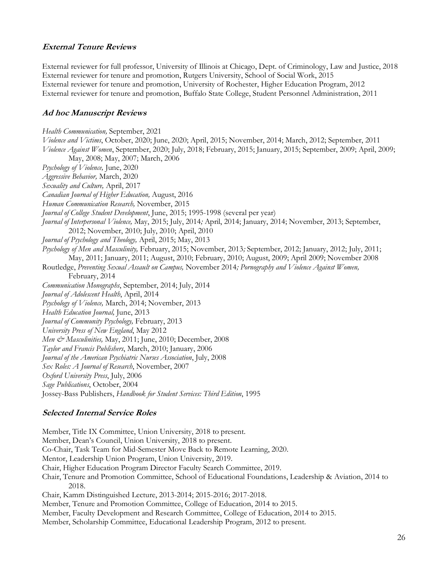### **External Tenure Reviews**

External reviewer for full professor, University of Illinois at Chicago, Dept. of Criminology, Law and Justice, 2018 External reviewer for tenure and promotion, Rutgers University, School of Social Work, 2015 External reviewer for tenure and promotion, University of Rochester, Higher Education Program, 2012 External reviewer for tenure and promotion, Buffalo State College, Student Personnel Administration, 2011

### **Ad hoc Manuscript Reviews**

*Health Communication,* September, 2021 *Violence and Victims*, October, 2020; June, 2020; April, 2015; November, 2014; March, 2012; September, 2011 *Violence Against Women*, September, 2020; July, 2018; February, 2015; January, 2015; September, 2009; April, 2009; May, 2008; May, 2007; March, 2006 *Psychology of Violence,* June, 2020 *Aggressive Behavior,* March, 2020 *Sexuality and Culture,* April, 2017 *Canadian Journal of Higher Education,* August, 2016 *Human Communication Research,* November, 2015 *Journal of College Student Development*, June, 2015; 1995-1998 (several per year) *Journal of Interpersonal Violence,* May, 2015; July, 2014*;* April, 2014; January, 2014; November, 2013; September, 2012; November, 2010; July, 2010; April, 2010 *Journal of Psychology and Theology,* April, 2015; May, 2013 *Psychology of Men and Masculinity,* February, 2015; November, 2013*;* September, 2012; January, 2012; July, 2011; May, 2011; January, 2011; August, 2010; February, 2010; August, 2009; April 2009; November 2008 Routledge, *Preventing Sexual Assault on Campus,* November 2014*; Pornography and Violence Against Women,* February, 2014 *Communication Monographs*, September, 2014; July, 2014 *Journal of Adolescent Health*, April, 2014 *Psychology of Violence,* March, 2014; November, 2013 *Health Education Journal,* June, 2013 *Journal of Community Psychology,* February, 2013 *University Press of New England*, May 2012 *Men & Masculinities,* May, 2011; June, 2010; December, 2008 *Taylor and Francis Publishers*, March, 2010; January, 2006 *Journal of the American Psychiatric Nurses Association*, July, 2008 *Sex Roles: A Journal of Research*, November, 2007 *Oxford University Press*, July, 2006 *Sage Publications*, October, 2004 Jossey-Bass Publishers, *Handbook for Student Services: Third Edition*, 1995

### **Selected Internal Service Roles**

Member, Title IX Committee, Union University, 2018 to present. Member, Dean's Council, Union University, 2018 to present. Co-Chair, Task Team for Mid-Semester Move Back to Remote Learning, 2020. Mentor, Leadership Union Program, Union University, 2019. Chair, Higher Education Program Director Faculty Search Committee, 2019. Chair, Tenure and Promotion Committee, School of Educational Foundations, Leadership & Aviation, 2014 to 2018. Chair, Kamm Distinguished Lecture, 2013-2014; 2015-2016; 2017-2018. Member, Tenure and Promotion Committee, College of Education, 2014 to 2015. Member, Faculty Development and Research Committee, College of Education, 2014 to 2015. Member, Scholarship Committee, Educational Leadership Program, 2012 to present.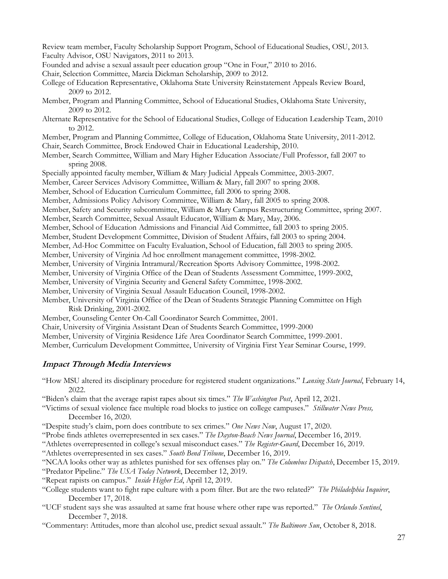Review team member, Faculty Scholarship Support Program, School of Educational Studies, OSU, 2013. Faculty Advisor, OSU Navigators, 2011 to 2013. Founded and advise a sexual assault peer education group "One in Four," 2010 to 2016. Chair, Selection Committee, Marcia Dickman Scholarship, 2009 to 2012. College of Education Representative, Oklahoma State University Reinstatement Appeals Review Board, 2009 to 2012. Member, Program and Planning Committee, School of Educational Studies, Oklahoma State University, 2009 to 2012. Alternate Representative for the School of Educational Studies, College of Education Leadership Team, 2010 to 2012. Member, Program and Planning Committee, College of Education, Oklahoma State University, 2011-2012. Chair, Search Committee, Brock Endowed Chair in Educational Leadership, 2010. Member, Search Committee, William and Mary Higher Education Associate/Full Professor, fall 2007 to spring 2008. Specially appointed faculty member, William & Mary Judicial Appeals Committee, 2003-2007. Member, Career Services Advisory Committee, William & Mary, fall 2007 to spring 2008. Member, School of Education Curriculum Committee, fall 2006 to spring 2008. Member, Admissions Policy Advisory Committee, William & Mary, fall 2005 to spring 2008. Member, Safety and Security subcommittee, William & Mary Campus Restructuring Committee, spring 2007. Member, Search Committee, Sexual Assault Educator, William & Mary, May, 2006. Member, School of Education Admissions and Financial Aid Committee, fall 2003 to spring 2005. Member, Student Development Committee, Division of Student Affairs, fall 2003 to spring 2004. Member, Ad-Hoc Committee on Faculty Evaluation, School of Education, fall 2003 to spring 2005. Member, University of Virginia Ad hoc enrollment management committee, 1998-2002. Member, University of Virginia Intramural/Recreation Sports Advisory Committee, 1998-2002. Member, University of Virginia Office of the Dean of Students Assessment Committee, 1999-2002, Member, University of Virginia Security and General Safety Committee, 1998-2002. Member, University of Virginia Sexual Assault Education Council, 1998-2002. Member, University of Virginia Office of the Dean of Students Strategic Planning Committee on High Risk Drinking, 2001-2002. Member, Counseling Center On-Call Coordinator Search Committee, 2001. Chair, University of Virginia Assistant Dean of Students Search Committee, 1999-2000 Member, University of Virginia Residence Life Area Coordinator Search Committee, 1999-2001.

Member, Curriculum Development Committee, University of Virginia First Year Seminar Course, 1999.

### **Impact Through Media Interviews**

"How MSU altered its disciplinary procedure for registered student organizations." *Lansing State Journal*, February 14, 2022.

"Biden's claim that the average rapist rapes about six times." *The Washington Post*, April 12, 2021.

"Victims of sexual violence face multiple road blocks to justice on college campuses." *Stillwater News Press,* December 16, 2020.

"Despite study's claim, porn does contribute to sex crimes." *One News Now*, August 17, 2020.

"Probe finds athletes overrepresented in sex cases." *The Dayton-Beach News Journal*, December 16, 2019.

"Athletes overrepresented in college's sexual misconduct cases." *The Register-Guard*, December 16, 2019.

"Athletes overrepresented in sex cases." *South Bend Tribune*, December 16, 2019.

"NCAA looks other way as athletes punished for sex offenses play on." *The Columbus Dispatch*, December 15, 2019.

"Predator Pipeline." *The USA Today Network*, December 12, 2019.

"Repeat rapists on campus." *Inside Higher Ed*, April 12, 2019.

"College students want to fight rape culture with a porn filter. But are the two related?" *The Philadelphia Inquirer*, December 17, 2018.

"UCF student says she was assaulted at same frat house where other rape was reported." *The Orlando Sentinel*, December 7, 2018.

"Commentary: Attitudes, more than alcohol use, predict sexual assault." *The Baltimore Sun*, October 8, 2018.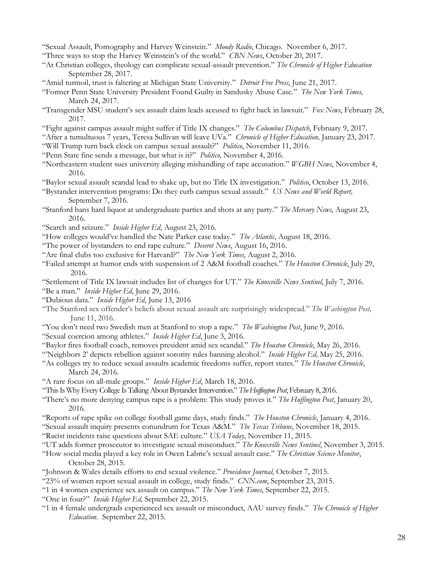"Sexual Assault, Pornography and Harvey Weinstein." *Moody Radio*, Chicago. November 6, 2017.

- "Three ways to stop the Harvey Weinstein's of the world." *CBN News*, October 20, 2017.
- "At Christian colleges, theology can complicate sexual-assault prevention." *The Chronicle of Higher Education* September 28, 2017.
- "Amid turmoil, trust is faltering at Michigan State University." *Detroit Free Press*, June 21, 2017.
- "Former Penn State University President Found Guilty in Sandusky Abuse Case." *The New York Times,* March 24, 2017.
- "Transgender MSU student's sex assault claim leads accused to fight back in lawsuit." *Fox News*, February 28, 2017.
- "Fight against campus assault might suffer if Title IX changes." *The Columbus Dispatch*, February 9, 2017.
- "After a tumultuous 7 years, Teresa Sullivan will leave UVa." *Chronicle of Higher Education,* January 23, 2017.
- "Will Trump turn back clock on campus sexual assault?" *Politico*, November 11, 2016.
- "Penn State fine sends a message, but what is it?" *Politico,* November 4, 2016.
- "Northeastern student sues university alleging mishandling of rape accusation." *WGBH News*, November 4, 2016.
- "Baylor sexual assault scandal lead to shake up, but no Title IX investigation." *Politico*, October 13, 2016.
- "Bystander intervention programs: Do they curb campus sexual assault." *US News and World Report,* September 7, 2016.
- "Stanford bans hard liquor at undergraduate parties and shots at any party." *The Mercury News*, August 23, 2016.
- "Search and seizure." *Inside Higher Ed*, August 23, 2016.
- "How colleges would've handled the Nate Parker case today." *The Atlantic*, August 18, 2016.
- "The power of bystanders to end rape culture." *Deseret News*, August 16, 2016.
- "Are final clubs too exclusive for Harvard?" *The New York Times*, August 2, 2016.
- "Failed attempt at humor ends with suspension of 2 A&M football coaches." *The Houston Chronicle*, July 29, 2016.
- "Settlement of Title IX lawsuit includes list of changes for UT." *The Knoxville News Sentinel*, July 7, 2016.
- "Be a man." *Inside Higher Ed*, June 29, 2016.
- "Dubious data." *Inside Higher Ed*, June 13, 2016
- "The Stanford sex offender's beliefs about sexual assault are surprisingly widespread." *The Washington Post,* June 11, 2016.
- "You don't need two Swedish men at Stanford to stop a rape." *The Washington Post*, June 9, 2016.
- "Sexual coercion among athletes." *Inside Higher Ed*, June 3, 2016.
- "Baylor fires football coach, removes president amid sex scandal." *The Houston Chronicle*, May 26, 2016.
- "'Neighbors 2' depicts rebellion against sorority rules banning alcohol." *Inside Higher Ed,* May 25, 2016.
- "As colleges try to reduce sexual assaults academic freedoms suffer, report states." *The Houston Chronicle*, March 24, 2016.
- "A rare focus on all-male groups." *Inside Higher Ed*, March 18, 2016.
- "This Is Why Every College Is Talking About Bystander Intervention." *The Huffington Post*, February 8, 2016.
- "There's no more denying campus rape is a problem: This study proves it." *The Huffington Post*, January 20, 2016.
- "Reports of rape spike on college football game days, study finds." *The Houston Chronicle*, January 4, 2016.
- "Sexual assault inquiry presents conundrum for Texas A&M." *The Texas Tribune*, November 18, 2015.
- "Racist incidents raise questions about SAE culture." *USA Today*, November 11, 2015.
- "UT adds former prosecutor to investigate sexual misconduct." *The Knoxville News Sentinel*, November 3, 2015.
- "How social media played a key role in Owen Labrie's sexual assault case." *The Christian Science Monitor*, October 28, 2015.
- "Johnson & Wales details efforts to end sexual violence." *Providence Journal,* October 7, 2015.
- "23% of women report sexual assault in college, study finds." *CNN.com*, September 23, 2015.
- "1 in 4 women experience sex assault on campus." *The New York Times*, September 22, 2015.
- "One in four?" *Inside Higher Ed,* September 22, 2015.
- "1 in 4 female undergrads experienced sex assault or misconduct, AAU survey finds." *The Chronicle of Higher Education.* September 22, 2015.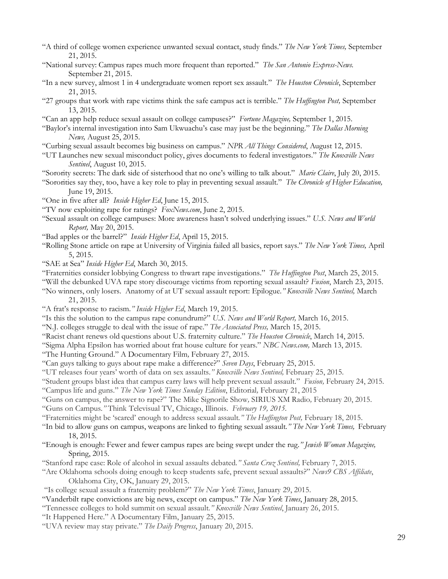- "A third of college women experience unwanted sexual contact, study finds." *The New York Times,* September 21, 2015.
- "National survey: Campus rapes much more frequent than reported." *The San Antonio Express-News.* September 21, 2015.
- "In a new survey, almost 1 in 4 undergraduate women report sex assault." *The Houston Chronicle*, September 21, 2015.
- "27 groups that work with rape victims think the safe campus act is terrible." *The Huffington Post,* September 13, 2015.
- "Can an app help reduce sexual assault on college campuses?" *Fortune Magazine,* September 1, 2015.

"Baylor's internal investigation into Sam Ukwuachu's case may just be the beginning." *The Dallas Morning News,* August 25, 2015.

- "Curbing sexual assault becomes big business on campus." *NPR All Things Considered*, August 12, 2015.
- "UT Launches new sexual misconduct policy, gives documents to federal investigators." *The Knoxville News Sentinel*, August 10, 2015.
- "Sorority secrets: The dark side of sisterhood that no one's willing to talk about." *Marie Claire*, July 20, 2015.
- "Sororities say they, too, have a key role to play in preventing sexual assault." *The Chronicle of Higher Education,* June 19, 2015.
- "One in five after all? *Inside Higher Ed*, June 15, 2015.
- "TV now exploiting rape for ratings? *FoxNews.com*, June 2, 2015.
- "Sexual assault on college campuses: More awareness hasn't solved underlying issues." *U.S. News and World Report,* May 20, 2015.
- "Bad apples or the barrel?" *Inside Higher Ed*, April 15, 2015.
- "Rolling Stone article on rape at University of Virginia failed all basics, report says." *The New York Times,* April 5, 2015.
- "SAE at Sea" *Inside Higher Ed*, March 30, 2015.
- "Fraternities consider lobbying Congress to thwart rape investigations." *The Huffington Post*, March 25, 2015.
- "Will the debunked UVA rape story discourage victims from reporting sexual assault? *Fusion*, March 23, 2015.
- "No winners, only losers. Anatomy of at UT sexual assault report: Epilogue*." Knoxville News Sentinel,* March 21, 2015.
- "A frat's response to racism*." Inside Higher Ed*, March 19, 2015.
- "Is this the solution to the campus rape conundrum?" *U.S. News and World Report,* March 16, 2015.
- "N.J. colleges struggle to deal with the issue of rape." *The Associated Press,* March 15, 2015.
- "Racist chant renews old questions about U.S. fraternity culture." *The Houston Chronicle*, March 14, 2015.
- "Sigma Alpha Epsilon has worried about frat house culture for years." *NBC News.com,* March 13, 2015.
- "The Hunting Ground." A Documentary Film*,* February 27, 2015*.*
- "Can guys talking to guys about rape make a difference?" *Seven Days*, February 25, 2015.
- "UT releases four years' worth of data on sex assaults.*" Knoxville News Sentinel,* February 25, 2015*.*
- "Student groups blast idea that campus carry laws will help prevent sexual assault." *Fusion,* February 24, 2015*.*
- "Campus life and guns." *The New York Times Sunday Edition*, Editorial*,* February 21, 2015
- "Guns on campus, the answer to rape?" The Mike Signorile Show*,* SIRIUS XM Radio*,* February 20, 2015.
- "Guns on Campus*."* Think Televisual TV, Chicago, Illinois. *February 19, 2015.*
- "Fraternities might be 'scared' enough to address sexual assault*." The Huffington Post,* February 18, 2015.
- "In bid to allow guns on campus, weapons are linked to fighting sexual assault*." The New York Times,* February 18, 2015.
- "Enough is enough: Fewer and fewer campus rapes are being swept under the rug.*" Jewish Woman Magazine,* Spring, 2015.
- "Stanford rape case: Role of alcohol in sexual assaults debated*." Santa Cruz Sentinel,* February 7, 2015.
- "Are Oklahoma schools doing enough to keep students safe, prevent sexual assaults?" *News9 CBS Affiliate*, Oklahoma City, OK, January 29, 2015.
- "Is college sexual assault a fraternity problem?" *The New York Times*, January 29, 2015.
- "Vanderbilt rape convictions are big news, except on campus." *The New York Times*, January 28, 2015.
- "Tennessee colleges to hold summit on sexual assault*." Knoxville News Sentinel*, January 26, 2015.
- "It Happened Here." A Documentary Film, January 25, 2015.
- "UVA review may stay private." *The Daily Progress*, January 20, 2015.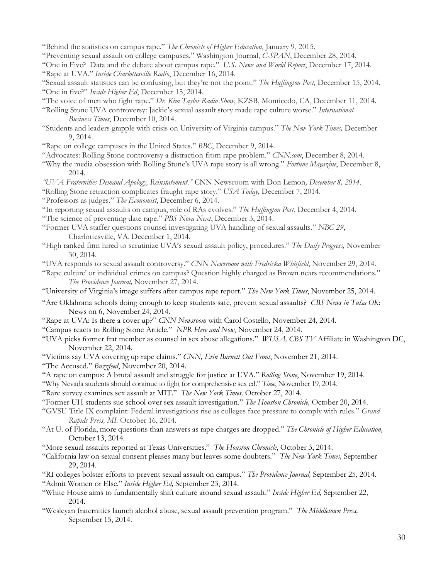- "Behind the statistics on campus rape." *The Chronicle of Higher Education*, January 9, 2015.
- "Preventing sexual assault on college campuses." Washington Journal, *C-SPAN*, December 28, 2014.

"One in Five? Data and the debate about campus rape." *U.S. News and World Report*, December 17, 2014. "Rape at UVA." *Inside Charlottesville Radio*, December 16, 2014.

- "Sexual assault statistics can be confusing, but they're not the point." *The Huffington Post,* December 15, 2014. "One in five?" *Inside Higher Ed*, December 15, 2014.
- "The voice of men who fight rape." *Dr. Kim Taylor Radio Show*, KZSB, Monticedo, CA, December 11, 2014.
- "Rolling Stone UVA controversy: Jackie's sexual assault story made rape culture worse." *International Business Times*, December 10, 2014.
- "Students and leaders grapple with crisis on University of Virginia campus." *The New York Times,* December 9, 2014.
- "Rape on college campuses in the United States." *BBC*, December 9, 2014.
- "Advocates: Rolling Stone controversy a distraction from rape problem." *CNN.com*, December 8, 2014.
- "Why the media obsession with Rolling Stone's UVA rape story is all wrong." *Fortune Magazine*, December 8, 2014*.*
- *"UVA Fraternities Demand Apology, Reinstatement."* CNN Newsroom with Don Lemon*, December 8, 2014.*
- "Rolling Stone retraction complicates fraught rape story." *USA Today,* December 7, 2014.
- "Professors as judges." *The Economist*, December 6, 2014.
- "In reporting sexual assaults on campus, role of RAs evolves." *The Huffington Post*, December 4, 2014.
- "The science of preventing date rape." *PBS Nova Next*, December 3, 2014.
- "Former UVA staffer questions counsel investigating UVA handling of sexual assaults." *NBC 29*, Charlottesville, VA. December 1, 2014.
- "High ranked firm hired to scrutinize UVA's sexual assault policy, procedures." *The Daily Progress,* November 30, 2014.
- "UVA responds to sexual assault controversy." *CNN Newsroom with Fredricka Whitfield*, November 29, 2014.
- "Rape culture' or individual crimes on campus? Question highly charged as Brown nears recommendations." *The Providence Journal,* November 27, 2014.
- "University of Virginia's image suffers after campus rape report." *The New York Times*, November 25, 2014.
- "Are Oklahoma schools doing enough to keep students safe, prevent sexual assaults? *CBS News in Tulsa OK*: News on 6, November 24, 2014.
- "Rape at UVA: Is there a cover up?" *CNN Newsroom* with Carol Costello, November 24, 2014.
- "Campus reacts to Rolling Stone Article." *NPR Here and Now*, November 24, 2014.
- "UVA picks former frat member as counsel in sex abuse allegations." *WUSA, CBS TV* Affiliate in Washington DC, November 22, 2014.
- "Victims say UVA covering up rape claims." *CNN, Erin Burnett Out Front*, November 21, 2014.
- "The Accused." *Buzzfeed*, November 20, 2014.
- "A rape on campus: A brutal assault and struggle for justice at UVA." *Rolling Stone*, November 19, 2014.
- "Why Nevada students should continue to fight for comprehensive sex ed." *Time*, November 19, 2014.

"Rare survey examines sex assault at MIT." *The New York Times,* October 27, 2014.

- "Former UH students sue school over sex assault investigation." *The Houston Chronicle,* October 20, 2014.
- "GVSU Title IX complaint: Federal investigations rise as colleges face pressure to comply with rules." *Grand Rapids Press, MI.* October 16, 2014.
- "At U. of Florida, more questions than answers as rape charges are dropped." *The Chronicle of Higher Education,* October 13, 2014.
- "More sexual assaults reported at Texas Universities." *The Houston Chronicle*, October 3, 2014.
- "California law on sexual consent pleases many but leaves some doubters." *The New York Times,* September 29, 2014.
- "RI colleges bolster efforts to prevent sexual assault on campus." *The Providence Journal,* September 25, 2014. "Admit Women or Else." *Inside Higher Ed,* September 23, 2014.
- "White House aims to fundamentally shift culture around sexual assault." *Inside Higher Ed,* September 22, 2014.
- "Wesleyan fraternities launch alcohol abuse, sexual assault prevention program." *The Middletown Press,* September 15, 2014.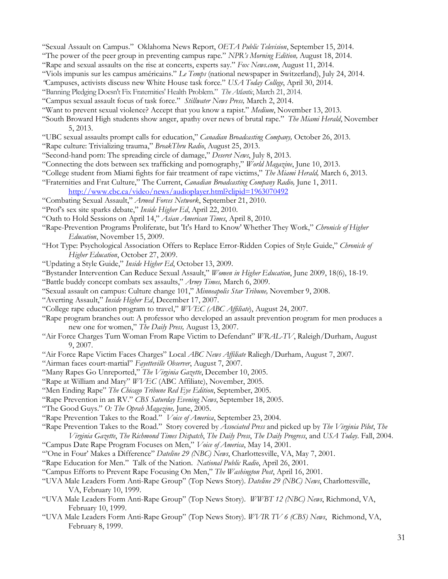- "Sexual Assault on Campus." Oklahoma News Report, *OETA Public Television*, September 15, 2014.
- "The power of the peer group in preventing campus rape." *NPR's Morning Edition,* August 18, 2014.
- "Rape and sexual assaults on the rise at concerts, experts say." *Fox News.com*, August 11, 2014.
- "Viols impunis sur les campus américains." *Le Temps* (national newspaper in Switzerland), July 24, 2014.
- *"*Campuses, activists discuss new White House task force." *USA Today College*, April 30, 2014.
- "Banning Pledging Doesn't Fix Fraternities' Health Problem." *The Atlantic*, March 21, 2014.
- "Campus sexual assault focus of task force." *Stillwater News Press,* March 2, 2014.
- "Want to prevent sexual violence? Accept that you know a rapist." *Medium*, November 13, 2013.
- "South Broward High students show anger, apathy over news of brutal rape." *The Miami Herald*, November 5, 2013.
- "UBC sexual assaults prompt calls for education," *Canadian Broadcasting Company,* October 26, 2013.
- "Rape culture: Trivializing trauma," *BreakThru Radio*, August 25, 2013.
- "Second-hand porn: The spreading circle of damage," *Deseret News*, July 8, 2013.
- "Connecting the dots between sex trafficking and pornography," *World Magazine*, June 10, 2013.
- "College student from Miami fights for fair treatment of rape victims," *The Miami Herald,* March 6, 2013.
- "Fraternities and Frat Culture," The Current, *Canadian Broadcasting Company Radio,* June 1, 2011.
- http://www.cbc.ca/video/news/audioplayer.html?clipid=1963070492
- "Combating Sexual Assault," *Armed Forces Network*, September 21, 2010.
- "Prof's sex site sparks debate," *Inside Higher Ed*, April 22, 2010.
- "Oath to Hold Sessions on April 14," *Asian American Times*, April 8, 2010.
- "Rape-Prevention Programs Proliferate, but 'It's Hard to Know' Whether They Work," *Chronicle of Higher Education*, November 15, 2009.
- "Hot Type: Psychological Association Offers to Replace Error-Ridden Copies of Style Guide," *Chronicle of Higher Education*, October 27, 2009.
- "Updating a Style Guide," *Inside Higher Ed*, October 13, 2009.
- "Bystander Intervention Can Reduce Sexual Assault," *Women in Higher Education*, June 2009, 18(6), 18-19.
- "Battle buddy concept combats sex assaults," *Army Times,* March 6, 2009.
- "Sexual assault on campus: Culture change 101," *Minneapolis Star Tribune,* November 9, 2008.
- "Averting Assault," *Inside Higher Ed*, December 17, 2007.
- "College rape education program to travel," *WVEC (ABC Affiliate*), August 24, 2007.
- "Rape program branches out: A professor who developed an assault prevention program for men produces a new one for women," *The Daily Press,* August 13, 2007.
- "Air Force Charges Turn Woman From Rape Victim to Defendant" *WRAL-TV*, Raleigh/Durham, August 9, 2007.
- "Air Force Rape Victim Faces Charges" Local *ABC News Affiliate* Raliegh/Durham, August 7, 2007.
- "Airman faces court-martial" *Fayetteville Observer*, August 7, 2007.
- "Many Rapes Go Unreported," *The Virginia Gazette*, December 10, 2005.
- "Rape at William and Mary" *WVEC* (ABC Affiliate), November, 2005.
- "Men Ending Rape" *The Chicago Tribune Red Eye Edition*, September, 2005.
- "Rape Prevention in an RV." *CBS Saturday Evening News*, September 18, 2005.
- "The Good Guys." *O: The Oprah Magazine,* June, 2005.
- "Rape Prevention Takes to the Road." *Voice of America*, September 23, 2004.

"Rape Prevention Takes to the Road." Story covered by *Associated Press* and picked up by *The Virginia Pilot*, *The Virginia Gazette*, *The Richmond Times Dispatch*, *The Daily Press*, *The Daily Progress*, and *USA Today*. Fall, 2004.

- "Campus Date Rape Program Focuses on Men," *Voice of America*, May 14, 2001.
- "'One in Four' Makes a Difference" *Dateline 29 (NBC) News*, Charlottesville, VA, May 7, 2001.
- "Rape Education for Men." Talk of the Nation. *National Public Radio*, April 26, 2001.
- "Campus Efforts to Prevent Rape Focusing On Men," *The Washington Post*, April 16, 2001.
- "UVA Male Leaders Form Anti-Rape Group" (Top News Story). *Dateline 29 (NBC) News*, Charlottesville, VA, February 10, 1999.
- "UVA Male Leaders Form Anti-Rape Group" (Top News Story). *WWBT 12 (NBC) News*, Richmond, VA, February 10, 1999.
- "UVA Male Leaders Form Anti-Rape Group" (Top News Story). *WVIR TV 6 (CBS) News*, Richmond, VA, February 8, 1999.